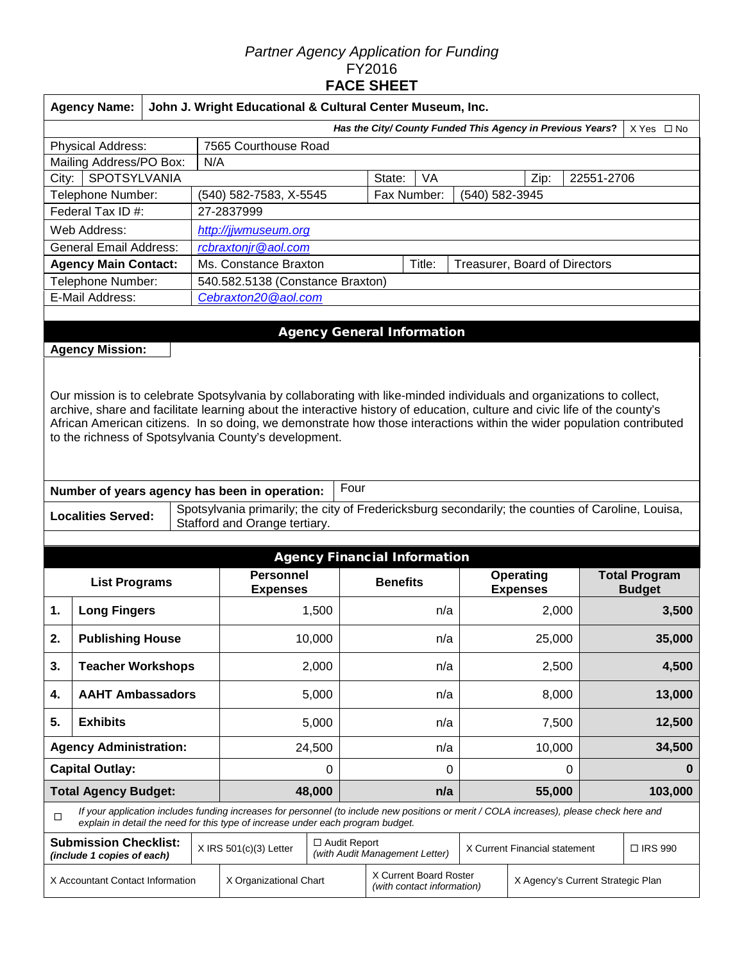#### *Partner Agency Application for Funding*  FY2016 **FACE SHEET**

|                                  | <b>Agency Name:</b>                                                                                                                                                                                                                                                                                                                                                                                                                 | John J. Wright Educational & Cultural Center Museum, Inc.                |                        |                                                                                                                                                                                                                             |                |                                                      |                                   |     |                                   |                               |       |            |                      |
|----------------------------------|-------------------------------------------------------------------------------------------------------------------------------------------------------------------------------------------------------------------------------------------------------------------------------------------------------------------------------------------------------------------------------------------------------------------------------------|--------------------------------------------------------------------------|------------------------|-----------------------------------------------------------------------------------------------------------------------------------------------------------------------------------------------------------------------------|----------------|------------------------------------------------------|-----------------------------------|-----|-----------------------------------|-------------------------------|-------|------------|----------------------|
|                                  |                                                                                                                                                                                                                                                                                                                                                                                                                                     | Has the City/ County Funded This Agency in Previous Years?<br>X Yes □ No |                        |                                                                                                                                                                                                                             |                |                                                      |                                   |     |                                   |                               |       |            |                      |
|                                  | Physical Address:                                                                                                                                                                                                                                                                                                                                                                                                                   |                                                                          |                        | 7565 Courthouse Road                                                                                                                                                                                                        |                |                                                      |                                   |     |                                   |                               |       |            |                      |
|                                  | Mailing Address/PO Box:                                                                                                                                                                                                                                                                                                                                                                                                             |                                                                          | N/A                    |                                                                                                                                                                                                                             |                |                                                      |                                   |     |                                   |                               |       |            |                      |
| SPOTSYLVANIA<br>City:            |                                                                                                                                                                                                                                                                                                                                                                                                                                     |                                                                          |                        |                                                                                                                                                                                                                             |                |                                                      | State:                            | VA  |                                   | Zip:                          |       | 22551-2706 |                      |
| Telephone Number:                |                                                                                                                                                                                                                                                                                                                                                                                                                                     |                                                                          |                        | Fax Number:<br>(540) 582-7583, X-5545<br>(540) 582-3945                                                                                                                                                                     |                |                                                      |                                   |     |                                   |                               |       |            |                      |
| Federal Tax ID #:                |                                                                                                                                                                                                                                                                                                                                                                                                                                     |                                                                          | 27-2837999             |                                                                                                                                                                                                                             |                |                                                      |                                   |     |                                   |                               |       |            |                      |
|                                  | Web Address:                                                                                                                                                                                                                                                                                                                                                                                                                        |                                                                          |                        | http://jjwmuseum.org                                                                                                                                                                                                        |                |                                                      |                                   |     |                                   |                               |       |            |                      |
|                                  | <b>General Email Address:</b>                                                                                                                                                                                                                                                                                                                                                                                                       |                                                                          |                        | rcbraxtonjr@aol.com                                                                                                                                                                                                         |                |                                                      |                                   |     |                                   |                               |       |            |                      |
|                                  | <b>Agency Main Contact:</b>                                                                                                                                                                                                                                                                                                                                                                                                         |                                                                          |                        | Ms. Constance Braxton<br>Title:<br>Treasurer, Board of Directors                                                                                                                                                            |                |                                                      |                                   |     |                                   |                               |       |            |                      |
|                                  | Telephone Number:                                                                                                                                                                                                                                                                                                                                                                                                                   |                                                                          |                        | 540.582.5138 (Constance Braxton)                                                                                                                                                                                            |                |                                                      |                                   |     |                                   |                               |       |            |                      |
|                                  | E-Mail Address:                                                                                                                                                                                                                                                                                                                                                                                                                     |                                                                          |                        | Cebraxton20@aol.com                                                                                                                                                                                                         |                |                                                      |                                   |     |                                   |                               |       |            |                      |
|                                  |                                                                                                                                                                                                                                                                                                                                                                                                                                     |                                                                          |                        |                                                                                                                                                                                                                             |                |                                                      |                                   |     |                                   |                               |       |            |                      |
|                                  | <b>Agency Mission:</b>                                                                                                                                                                                                                                                                                                                                                                                                              |                                                                          |                        |                                                                                                                                                                                                                             |                |                                                      | <b>Agency General Information</b> |     |                                   |                               |       |            |                      |
|                                  | Our mission is to celebrate Spotsylvania by collaborating with like-minded individuals and organizations to collect,<br>archive, share and facilitate learning about the interactive history of education, culture and civic life of the county's<br>African American citizens. In so doing, we demonstrate how those interactions within the wider population contributed<br>to the richness of Spotsylvania County's development. |                                                                          |                        |                                                                                                                                                                                                                             |                |                                                      |                                   |     |                                   |                               |       |            |                      |
|                                  |                                                                                                                                                                                                                                                                                                                                                                                                                                     |                                                                          |                        | Number of years agency has been in operation:                                                                                                                                                                               |                | Four                                                 |                                   |     |                                   |                               |       |            |                      |
|                                  | <b>Localities Served:</b>                                                                                                                                                                                                                                                                                                                                                                                                           |                                                                          |                        | Spotsylvania primarily; the city of Fredericksburg secondarily; the counties of Caroline, Louisa,<br>Stafford and Orange tertiary.                                                                                          |                |                                                      |                                   |     |                                   |                               |       |            |                      |
|                                  | <b>Agency Financial Information</b>                                                                                                                                                                                                                                                                                                                                                                                                 |                                                                          |                        |                                                                                                                                                                                                                             |                |                                                      |                                   |     |                                   |                               |       |            |                      |
|                                  | <b>List Programs</b>                                                                                                                                                                                                                                                                                                                                                                                                                |                                                                          |                        | <b>Personnel</b>                                                                                                                                                                                                            |                |                                                      | <b>Benefits</b>                   |     |                                   | <b>Operating</b>              |       |            | <b>Total Program</b> |
|                                  |                                                                                                                                                                                                                                                                                                                                                                                                                                     |                                                                          |                        | <b>Expenses</b>                                                                                                                                                                                                             |                |                                                      |                                   |     |                                   | <b>Expenses</b>               |       |            | <b>Budget</b>        |
| 1.                               | <b>Long Fingers</b>                                                                                                                                                                                                                                                                                                                                                                                                                 |                                                                          |                        |                                                                                                                                                                                                                             | 1,500          |                                                      |                                   | n/a |                                   | 2,000                         |       | 3,500      |                      |
| 2.                               | <b>Publishing House</b>                                                                                                                                                                                                                                                                                                                                                                                                             |                                                                          |                        |                                                                                                                                                                                                                             | 10,000         |                                                      |                                   | n/a |                                   | 25,000                        |       | 35,000     |                      |
| 3.                               | <b>Teacher Workshops</b>                                                                                                                                                                                                                                                                                                                                                                                                            |                                                                          |                        |                                                                                                                                                                                                                             | 2,000          | n/a                                                  |                                   |     | 2,500                             |                               | 4,500 |            |                      |
| 4.                               | <b>AAHT Ambassadors</b>                                                                                                                                                                                                                                                                                                                                                                                                             |                                                                          |                        |                                                                                                                                                                                                                             | 5,000          |                                                      |                                   | n/a |                                   | 8,000                         |       | 13,000     |                      |
| 5.                               | <b>Exhibits</b>                                                                                                                                                                                                                                                                                                                                                                                                                     |                                                                          |                        |                                                                                                                                                                                                                             | 5,000          |                                                      |                                   | n/a |                                   | 7,500                         |       |            | 12,500               |
| <b>Agency Administration:</b>    |                                                                                                                                                                                                                                                                                                                                                                                                                                     |                                                                          |                        | 24,500                                                                                                                                                                                                                      |                |                                                      | n/a                               |     | 10,000                            |                               |       | 34,500     |                      |
| <b>Capital Outlay:</b>           |                                                                                                                                                                                                                                                                                                                                                                                                                                     |                                                                          |                        | 0                                                                                                                                                                                                                           |                | 0                                                    |                                   |     |                                   | $\pmb{0}$                     |       | $\bf{0}$   |                      |
| <b>Total Agency Budget:</b>      |                                                                                                                                                                                                                                                                                                                                                                                                                                     |                                                                          |                        |                                                                                                                                                                                                                             | 48,000         |                                                      |                                   | n/a |                                   | 55,000                        |       |            | 103,000              |
| $\Box$                           |                                                                                                                                                                                                                                                                                                                                                                                                                                     |                                                                          |                        | If your application includes funding increases for personnel (to include new positions or merit / COLA increases), please check here and<br>explain in detail the need for this type of increase under each program budget. |                |                                                      |                                   |     |                                   |                               |       |            |                      |
|                                  | <b>Submission Checklist:</b><br>(include 1 copies of each)                                                                                                                                                                                                                                                                                                                                                                          |                                                                          |                        | $X$ IRS 501(c)(3) Letter                                                                                                                                                                                                    | □ Audit Report |                                                      | (with Audit Management Letter)    |     |                                   | X Current Financial statement |       |            | □ IRS 990            |
| X Accountant Contact Information |                                                                                                                                                                                                                                                                                                                                                                                                                                     |                                                                          | X Organizational Chart |                                                                                                                                                                                                                             |                | X Current Board Roster<br>(with contact information) |                                   |     | X Agency's Current Strategic Plan |                               |       |            |                      |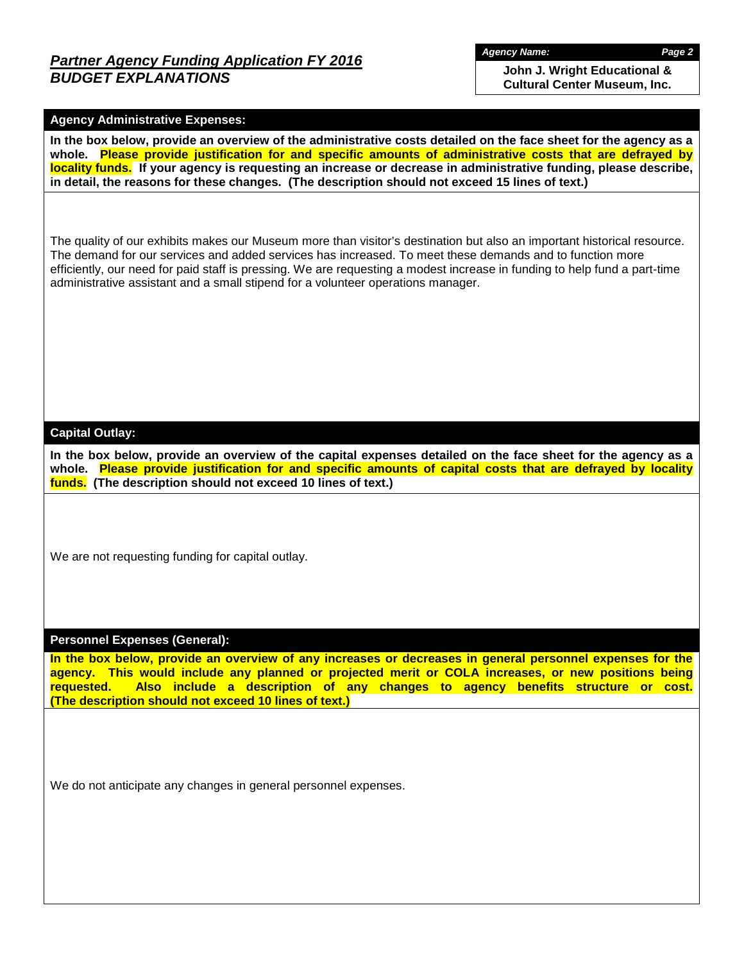## *Partner Agency Funding Application FY 2016 BUDGET EXPLANATIONS*

*Agency Name: Page 2*

**John J. Wright Educational & Cultural Center Museum, Inc.**

#### **Agency Administrative Expenses:**

**In the box below, provide an overview of the administrative costs detailed on the face sheet for the agency as a whole. Please provide justification for and specific amounts of administrative costs that are defrayed by locality funds. If your agency is requesting an increase or decrease in administrative funding, please describe, in detail, the reasons for these changes. (The description should not exceed 15 lines of text.)**

The quality of our exhibits makes our Museum more than visitor's destination but also an important historical resource. The demand for our services and added services has increased. To meet these demands and to function more efficiently, our need for paid staff is pressing. We are requesting a modest increase in funding to help fund a part-time administrative assistant and a small stipend for a volunteer operations manager.

#### **Capital Outlay:**

**In the box below, provide an overview of the capital expenses detailed on the face sheet for the agency as a whole. Please provide justification for and specific amounts of capital costs that are defrayed by locality funds. (The description should not exceed 10 lines of text.)**

We are not requesting funding for capital outlay.

#### **Personnel Expenses (General):**

**In the box below, provide an overview of any increases or decreases in general personnel expenses for the agency. This would include any planned or projected merit or COLA increases, or new positions being requested. Also include a description of any changes to agency benefits structure or cost. (The description should not exceed 10 lines of text.)**

We do not anticipate any changes in general personnel expenses.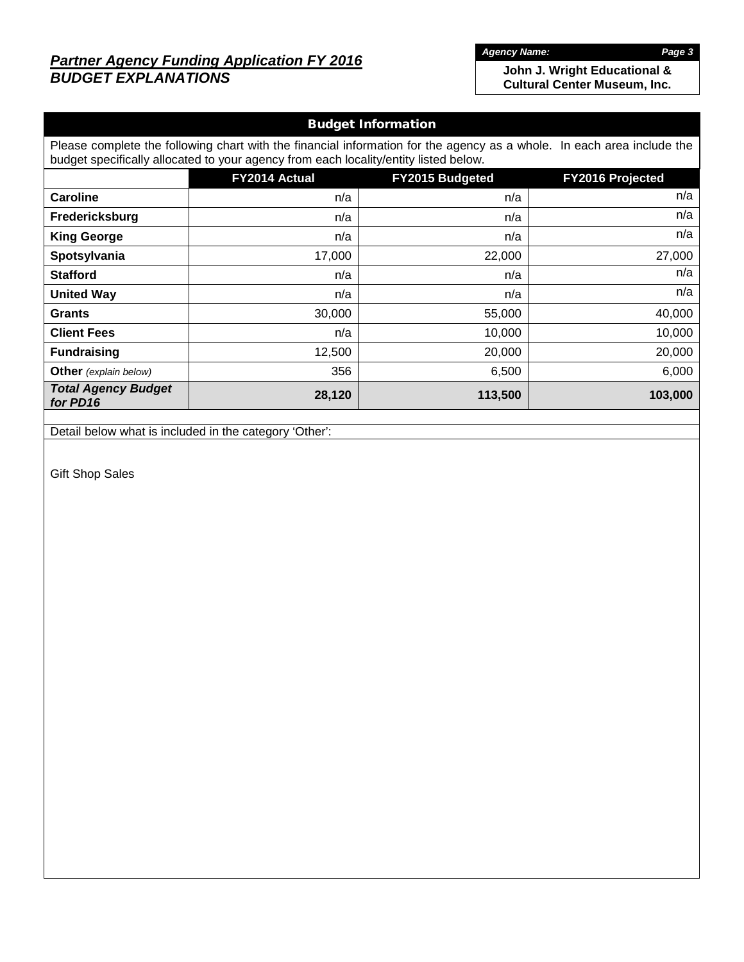## *Partner Agency Funding Application FY 2016 BUDGET EXPLANATIONS*

*Agency Name: Page 3*

**John J. Wright Educational & Cultural Center Museum, Inc.**

# Budget Information Please complete the following chart with the financial information for the agency as a whole. In each area include the budget specifically allocated to your agency from each locality/entity listed below. **FY2014 Actual FY2015 Budgeted FY2016 Projected Caroline** n/a n/a n/a **Fredericksburg** n/a n/a n/a **King George** n/a n/a n/a **Spotsylvania** 17,000 22,000 27,000 **Stafford** n/a n/a n/a **United Way n/a**  $n/a$  **n/a**  $n/a$  **n/a**  $n/a$ **Grants** 30,000 55,000 40,000 **Client Fees n/a 10,000 10,000** 10,000 10,000 10,000 10,000 10,000 **Fundraising 12,500 20,000 20,000 Other** *(explain below)* 1 356 6,000 6,500 6,000 *Total Agency Budget for PD16* **28,120 113,500 103,000**

Detail below what is included in the category 'Other':

Gift Shop Sales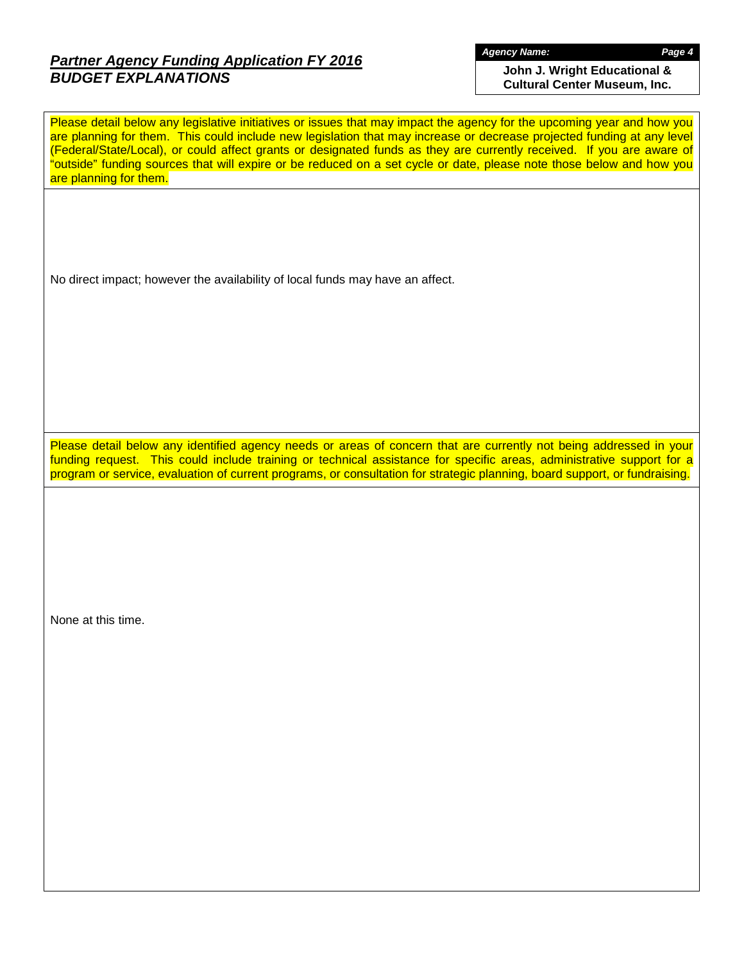## *Partner Agency Funding Application FY 2016 BUDGET EXPLANATIONS*

*Agency Name: Page 4*

**John J. Wright Educational & Cultural Center Museum, Inc.**

Please detail below any legislative initiatives or issues that may impact the agency for the upcoming year and how you are planning for them. This could include new legislation that may increase or decrease projected funding at any level (Federal/State/Local), or could affect grants or designated funds as they are currently received. If you are aware of "outside" funding sources that will expire or be reduced on a set cycle or date, please note those below and how you are planning for them.

No direct impact; however the availability of local funds may have an affect.

Please detail below any identified agency needs or areas of concern that are currently not being addressed in your funding request. This could include training or technical assistance for specific areas, administrative support for a program or service, evaluation of current programs, or consultation for strategic planning, board support, or fundraising.

None at this time.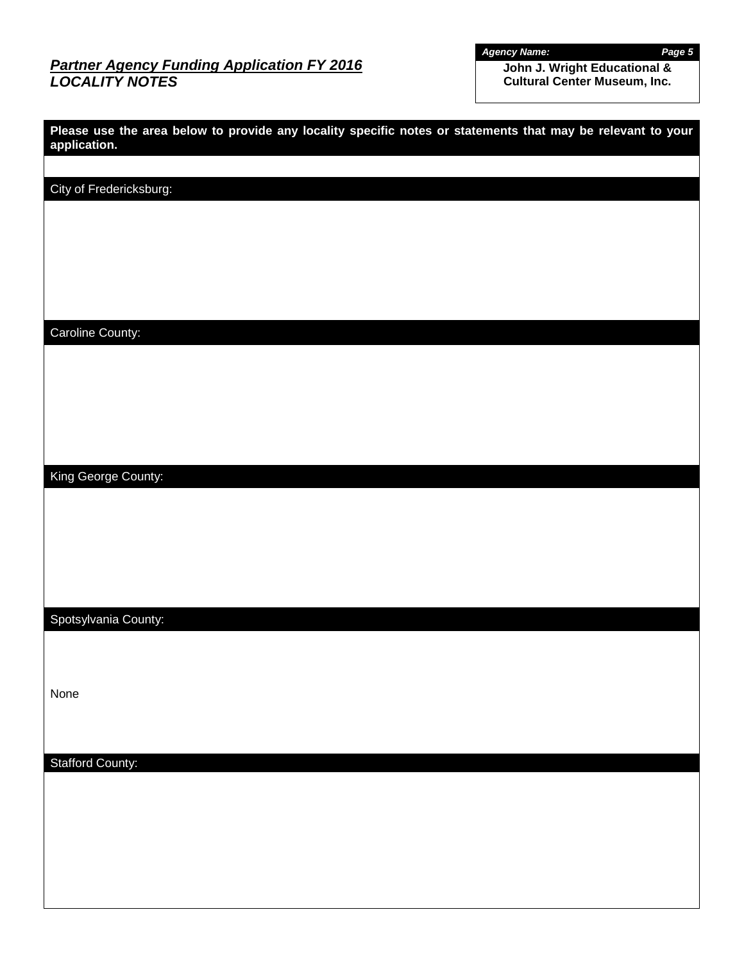## *Partner Agency Funding Application FY 2016 LOCALITY NOTES*

*Agency Name: Page 5*

**John J. Wright Educational & Cultural Center Museum, Inc.**

| Please use the area below to provide any locality specific notes or statements that may be relevant to your<br>application. |  |
|-----------------------------------------------------------------------------------------------------------------------------|--|
|                                                                                                                             |  |
| City of Fredericksburg:                                                                                                     |  |
|                                                                                                                             |  |
|                                                                                                                             |  |
|                                                                                                                             |  |
| Caroline County:                                                                                                            |  |
|                                                                                                                             |  |
|                                                                                                                             |  |
|                                                                                                                             |  |
|                                                                                                                             |  |
| King George County:                                                                                                         |  |
|                                                                                                                             |  |
|                                                                                                                             |  |
|                                                                                                                             |  |
| Spotsylvania County:                                                                                                        |  |
|                                                                                                                             |  |
|                                                                                                                             |  |
| None                                                                                                                        |  |
|                                                                                                                             |  |
| <b>Stafford County:</b>                                                                                                     |  |
|                                                                                                                             |  |
|                                                                                                                             |  |
|                                                                                                                             |  |
|                                                                                                                             |  |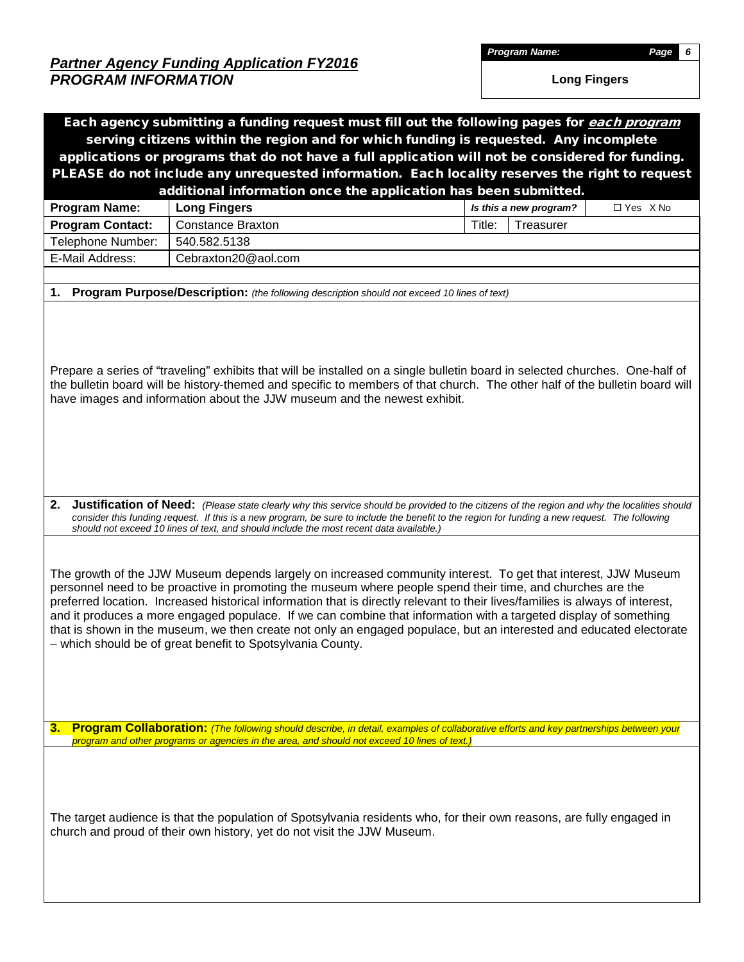*Program Name: Page 6*

**Long Fingers**

|                                                                                                                                                                                                                                                                                                                                                                                                                                                                                                                                                                                                                                                                        | Each agency submitting a funding request must fill out the following pages for each program<br>serving citizens within the region and for which funding is requested. Any incomplete                                                                                                                                                                                                      |                                      |  |  |  |  |
|------------------------------------------------------------------------------------------------------------------------------------------------------------------------------------------------------------------------------------------------------------------------------------------------------------------------------------------------------------------------------------------------------------------------------------------------------------------------------------------------------------------------------------------------------------------------------------------------------------------------------------------------------------------------|-------------------------------------------------------------------------------------------------------------------------------------------------------------------------------------------------------------------------------------------------------------------------------------------------------------------------------------------------------------------------------------------|--------------------------------------|--|--|--|--|
|                                                                                                                                                                                                                                                                                                                                                                                                                                                                                                                                                                                                                                                                        | applications or programs that do not have a full application will not be considered for funding.                                                                                                                                                                                                                                                                                          |                                      |  |  |  |  |
|                                                                                                                                                                                                                                                                                                                                                                                                                                                                                                                                                                                                                                                                        | PLEASE do not include any unrequested information. Each locality reserves the right to request                                                                                                                                                                                                                                                                                            |                                      |  |  |  |  |
|                                                                                                                                                                                                                                                                                                                                                                                                                                                                                                                                                                                                                                                                        | additional information once the application has been submitted.                                                                                                                                                                                                                                                                                                                           |                                      |  |  |  |  |
| <b>Program Name:</b>                                                                                                                                                                                                                                                                                                                                                                                                                                                                                                                                                                                                                                                   | <b>Long Fingers</b>                                                                                                                                                                                                                                                                                                                                                                       | Is this a new program?<br>□ Yes X No |  |  |  |  |
| <b>Program Contact:</b><br>Telephone Number:                                                                                                                                                                                                                                                                                                                                                                                                                                                                                                                                                                                                                           | <b>Constance Braxton</b><br>540.582.5138                                                                                                                                                                                                                                                                                                                                                  | Treasurer<br>Title:                  |  |  |  |  |
| E-Mail Address:                                                                                                                                                                                                                                                                                                                                                                                                                                                                                                                                                                                                                                                        | Cebraxton20@aol.com                                                                                                                                                                                                                                                                                                                                                                       |                                      |  |  |  |  |
|                                                                                                                                                                                                                                                                                                                                                                                                                                                                                                                                                                                                                                                                        |                                                                                                                                                                                                                                                                                                                                                                                           |                                      |  |  |  |  |
|                                                                                                                                                                                                                                                                                                                                                                                                                                                                                                                                                                                                                                                                        | 1. Program Purpose/Description: (the following description should not exceed 10 lines of text)                                                                                                                                                                                                                                                                                            |                                      |  |  |  |  |
|                                                                                                                                                                                                                                                                                                                                                                                                                                                                                                                                                                                                                                                                        | Prepare a series of "traveling" exhibits that will be installed on a single bulletin board in selected churches. One-half of<br>the bulletin board will be history-themed and specific to members of that church. The other half of the bulletin board will<br>have images and information about the JJW museum and the newest exhibit.                                                   |                                      |  |  |  |  |
| 2.                                                                                                                                                                                                                                                                                                                                                                                                                                                                                                                                                                                                                                                                     | Justification of Need: (Please state clearly why this service should be provided to the citizens of the region and why the localities should<br>consider this funding request. If this is a new program, be sure to include the benefit to the region for funding a new request. The following<br>should not exceed 10 lines of text, and should include the most recent data available.) |                                      |  |  |  |  |
| The growth of the JJW Museum depends largely on increased community interest. To get that interest, JJW Museum<br>personnel need to be proactive in promoting the museum where people spend their time, and churches are the<br>preferred location. Increased historical information that is directly relevant to their lives/families is always of interest,<br>and it produces a more engaged populace. If we can combine that information with a targeted display of something<br>that is shown in the museum, we then create not only an engaged populace, but an interested and educated electorate<br>- which should be of great benefit to Spotsylvania County. |                                                                                                                                                                                                                                                                                                                                                                                           |                                      |  |  |  |  |
|                                                                                                                                                                                                                                                                                                                                                                                                                                                                                                                                                                                                                                                                        | 3. Program Collaboration: (The following should describe, in detail, examples of collaborative efforts and key partnerships between your<br>program and other programs or agencies in the area, and should not exceed 10 lines of text.)                                                                                                                                                  |                                      |  |  |  |  |
|                                                                                                                                                                                                                                                                                                                                                                                                                                                                                                                                                                                                                                                                        | The target audience is that the population of Spotsylvania residents who, for their own reasons, are fully engaged in<br>church and proud of their own history, yet do not visit the JJW Museum.                                                                                                                                                                                          |                                      |  |  |  |  |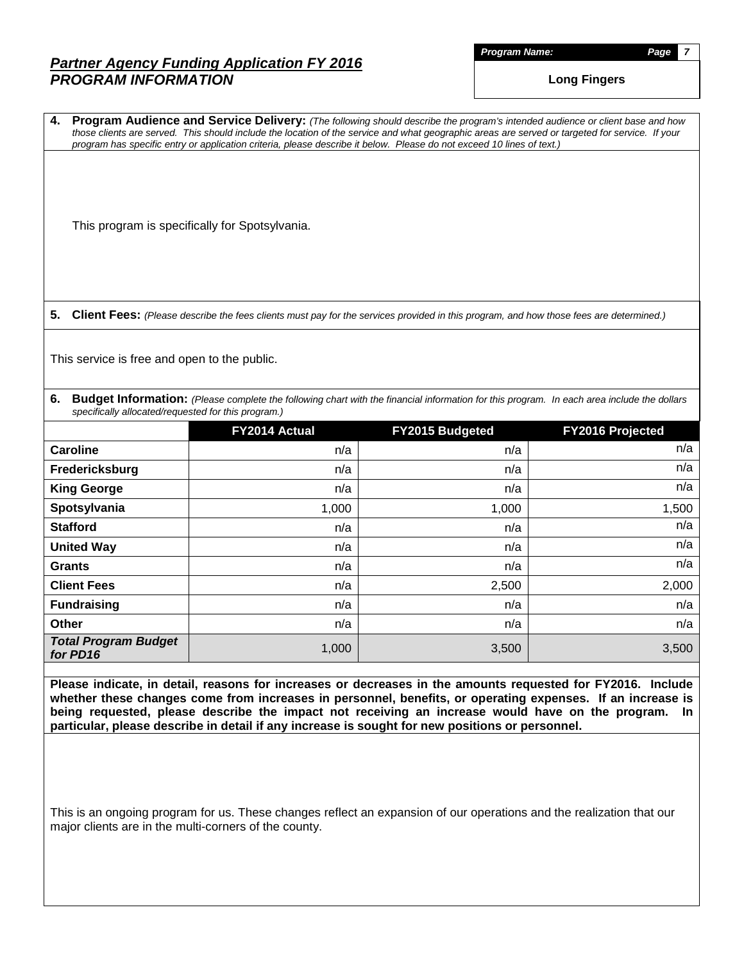*Program Name: Page 7*

**Long Fingers**

**4. Program Audience and Service Delivery:** *(The following should describe the program's intended audience or client base and how those clients are served. This should include the location of the service and what geographic areas are served or targeted for service. If your program has specific entry or application criteria, please describe it below. Please do not exceed 10 lines of text.)*

This program is specifically for Spotsylvania.

**5. Client Fees:** *(Please describe the fees clients must pay for the services provided in this program, and how those fees are determined.)*

This service is free and open to the public.

**6. Budget Information:** *(Please complete the following chart with the financial information for this program. In each area include the dollars specifically allocated/requested for this program.)*

|                                         | FY2014 Actual | FY2015 Budgeted | FY2016 Projected |
|-----------------------------------------|---------------|-----------------|------------------|
| <b>Caroline</b>                         | n/a           | n/a             | n/a              |
| Fredericksburg                          | n/a           | n/a             | n/a              |
| <b>King George</b>                      | n/a           | n/a             | n/a              |
| Spotsylvania                            | 1,000         | 1,000           | 1,500            |
| <b>Stafford</b>                         | n/a           | n/a             | n/a              |
| <b>United Way</b>                       | n/a           | n/a             | n/a              |
| <b>Grants</b>                           | n/a           | n/a             | n/a              |
| <b>Client Fees</b>                      | n/a           | 2,500           | 2,000            |
| <b>Fundraising</b>                      | n/a           | n/a             | n/a              |
| <b>Other</b>                            | n/a           | n/a             | n/a              |
| <b>Total Program Budget</b><br>for PD16 | 1,000         | 3,500           | 3,500            |

**Please indicate, in detail, reasons for increases or decreases in the amounts requested for FY2016. Include whether these changes come from increases in personnel, benefits, or operating expenses. If an increase is being requested, please describe the impact not receiving an increase would have on the program. In particular, please describe in detail if any increase is sought for new positions or personnel.**

This is an ongoing program for us. These changes reflect an expansion of our operations and the realization that our major clients are in the multi-corners of the county.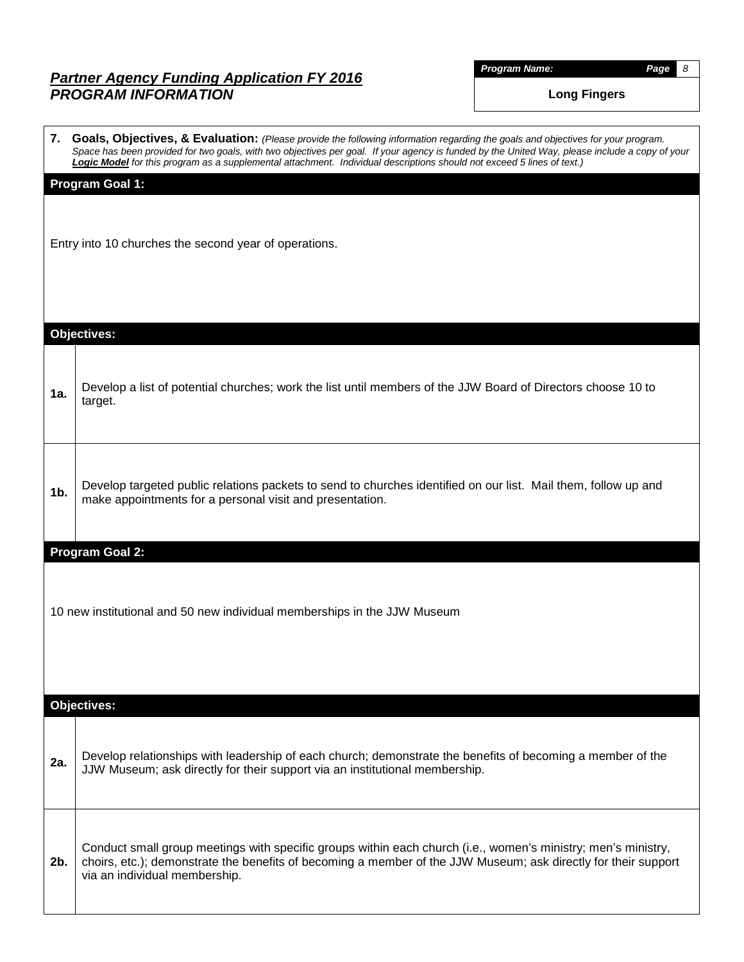*Program Name: Page 8*

**Long Fingers**

|     | 7. Goals, Objectives, & Evaluation: (Please provide the following information regarding the goals and objectives for your program.<br>Space has been provided for two goals, with two objectives per goal. If your agency is funded by the United Way, please include a copy of your<br>Logic Model for this program as a supplemental attachment. Individual descriptions should not exceed 5 lines of text.) |  |  |  |  |  |  |
|-----|----------------------------------------------------------------------------------------------------------------------------------------------------------------------------------------------------------------------------------------------------------------------------------------------------------------------------------------------------------------------------------------------------------------|--|--|--|--|--|--|
|     | <b>Program Goal 1:</b>                                                                                                                                                                                                                                                                                                                                                                                         |  |  |  |  |  |  |
|     | Entry into 10 churches the second year of operations.                                                                                                                                                                                                                                                                                                                                                          |  |  |  |  |  |  |
|     |                                                                                                                                                                                                                                                                                                                                                                                                                |  |  |  |  |  |  |
|     | <b>Objectives:</b>                                                                                                                                                                                                                                                                                                                                                                                             |  |  |  |  |  |  |
| 1a. | Develop a list of potential churches; work the list until members of the JJW Board of Directors choose 10 to<br>target.                                                                                                                                                                                                                                                                                        |  |  |  |  |  |  |
| 1b. | Develop targeted public relations packets to send to churches identified on our list. Mail them, follow up and<br>make appointments for a personal visit and presentation.                                                                                                                                                                                                                                     |  |  |  |  |  |  |
|     | Program Goal 2:                                                                                                                                                                                                                                                                                                                                                                                                |  |  |  |  |  |  |
|     | 10 new institutional and 50 new individual memberships in the JJW Museum                                                                                                                                                                                                                                                                                                                                       |  |  |  |  |  |  |
|     | <b>Objectives:</b>                                                                                                                                                                                                                                                                                                                                                                                             |  |  |  |  |  |  |
| 2a. | Develop relationships with leadership of each church; demonstrate the benefits of becoming a member of the<br>JJW Museum; ask directly for their support via an institutional membership.                                                                                                                                                                                                                      |  |  |  |  |  |  |
| 2b. | Conduct small group meetings with specific groups within each church (i.e., women's ministry; men's ministry,<br>choirs, etc.); demonstrate the benefits of becoming a member of the JJW Museum; ask directly for their support<br>via an individual membership.                                                                                                                                               |  |  |  |  |  |  |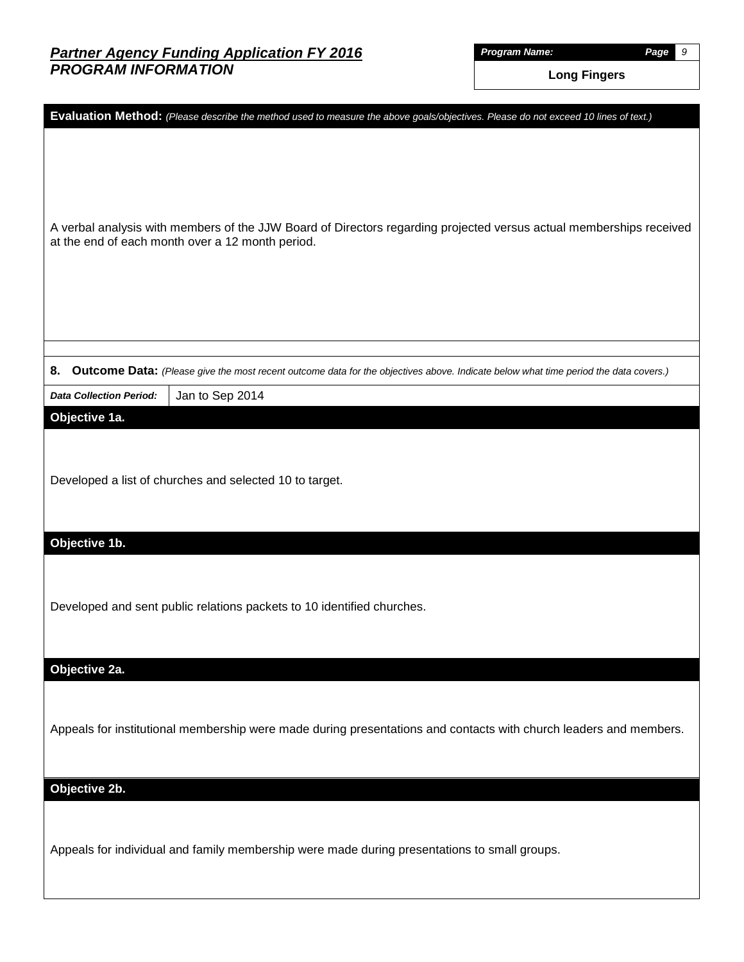*Program Name: Page 9*

**Long Fingers**

|                                                  | Evaluation Method: (Please describe the method used to measure the above goals/objectives. Please do not exceed 10 lines of text.)  |
|--------------------------------------------------|-------------------------------------------------------------------------------------------------------------------------------------|
| at the end of each month over a 12 month period. | A verbal analysis with members of the JJW Board of Directors regarding projected versus actual memberships received                 |
|                                                  |                                                                                                                                     |
| 8.                                               | Outcome Data: (Please give the most recent outcome data for the objectives above. Indicate below what time period the data covers.) |
| <b>Data Collection Period:</b>                   | Jan to Sep 2014                                                                                                                     |
| Objective 1a.                                    | Developed a list of churches and selected 10 to target.                                                                             |
| Objective 1b.                                    |                                                                                                                                     |
|                                                  | Developed and sent public relations packets to 10 identified churches.                                                              |
| Objective 2a.                                    |                                                                                                                                     |
|                                                  | Appeals for institutional membership were made during presentations and contacts with church leaders and members.                   |
| Objective 2b.                                    |                                                                                                                                     |
|                                                  | Appeals for individual and family membership were made during presentations to small groups.                                        |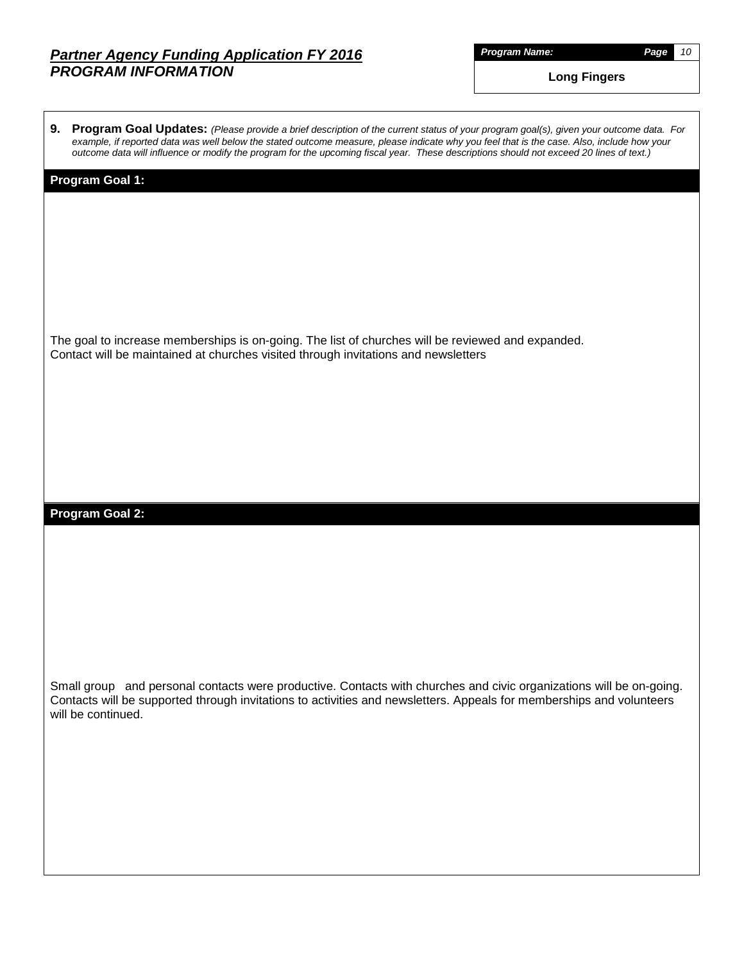*Program Name: Page 10*

**Long Fingers**

| outcome data will influence or modify the program for the upcoming fiscal year. These descriptions should not exceed 20 lines of text.)                                                                                                                           |  |
|-------------------------------------------------------------------------------------------------------------------------------------------------------------------------------------------------------------------------------------------------------------------|--|
| <b>Program Goal 1:</b>                                                                                                                                                                                                                                            |  |
| The goal to increase memberships is on-going. The list of churches will be reviewed and expanded.<br>Contact will be maintained at churches visited through invitations and newsletters                                                                           |  |
| <b>Program Goal 2:</b>                                                                                                                                                                                                                                            |  |
| Small group and personal contacts were productive. Contacts with churches and civic organizations will be on-going.<br>Contacts will be supported through invitations to activities and newsletters. Appeals for memberships and volunteers<br>will be continued. |  |

**9. Program Goal Updates:** *(Please provide a brief description of the current status of your program goal(s), given your outcome data. For example, if reported data was well below the stated outcome measure, please indicate why you feel that is the case. Also, include how your*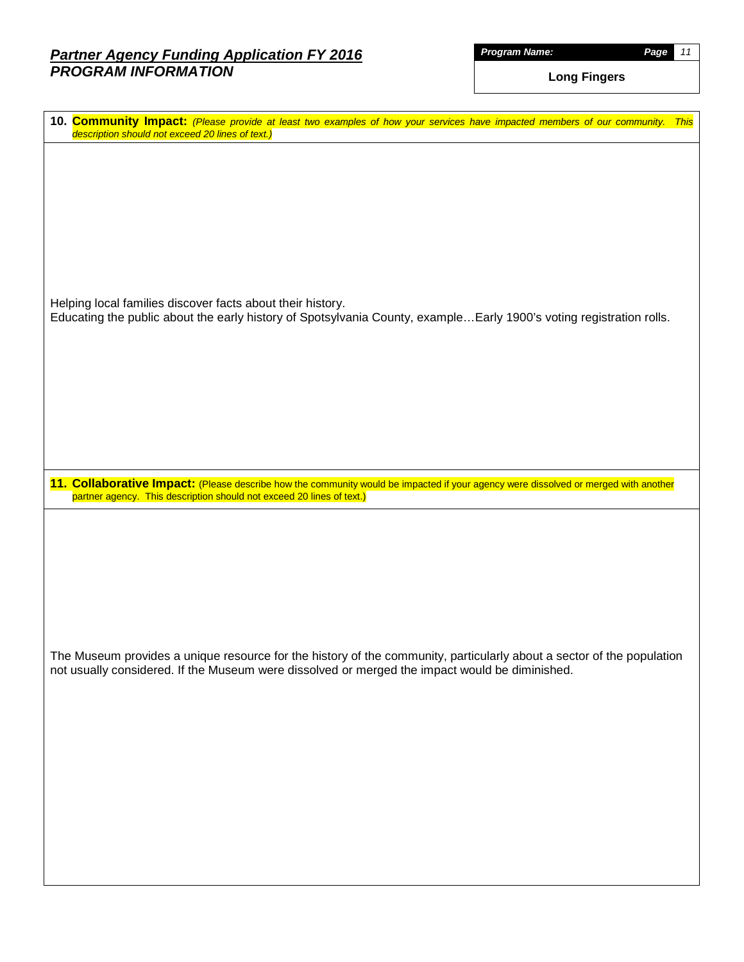*Program Name: Page 11*

**Long Fingers**

| 10. Community Impact: (Please provide at least two examples of how your services have impacted members of our community. This<br>description should not exceed 20 lines of text.)                                       |
|-------------------------------------------------------------------------------------------------------------------------------------------------------------------------------------------------------------------------|
| Helping local families discover facts about their history.<br>Educating the public about the early history of Spotsylvania County, exampleEarly 1900's voting registration rolls.                                       |
| 11. Collaborative Impact: (Please describe how the community would be impacted if your agency were dissolved or merged with another<br>partner agency. This description should not exceed 20 lines of text.)            |
| The Museum provides a unique resource for the history of the community, particularly about a sector of the population<br>not usually considered. If the Museum were dissolved or merged the impact would be diminished. |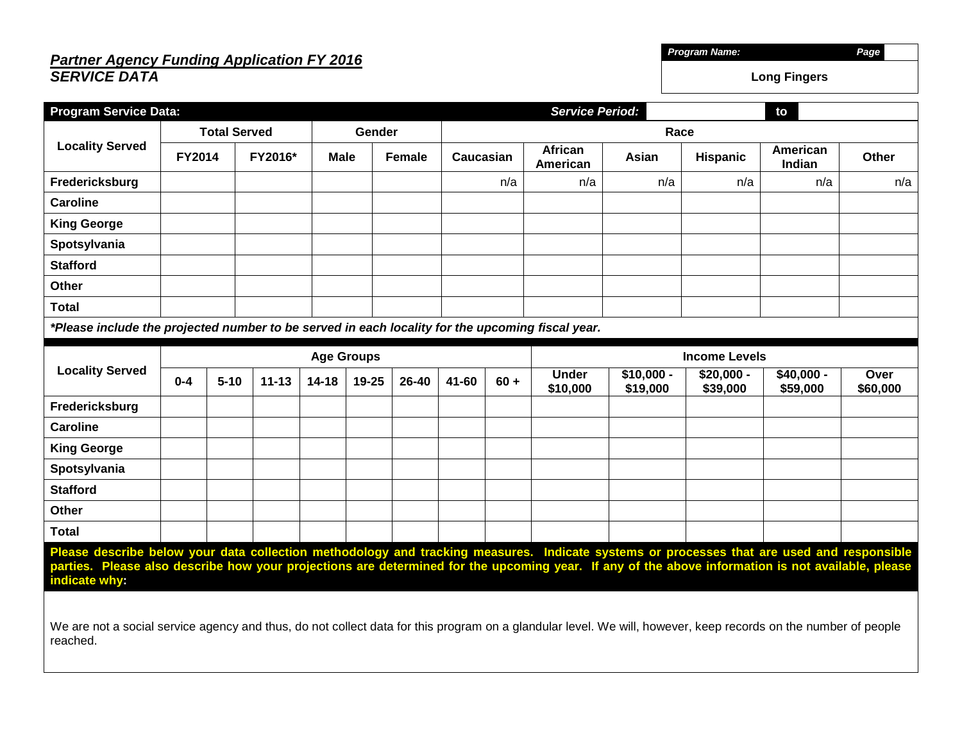## *Partner Agency Funding Application FY 2016 SERVICE DATA*

| <b>Program Service Data:</b>                                                                                                                                                                                                                                                                                    |                   |          |                     |           |        |        |           | <b>Service Period:</b><br>to |                            |                      |                 |                    |              |  |
|-----------------------------------------------------------------------------------------------------------------------------------------------------------------------------------------------------------------------------------------------------------------------------------------------------------------|-------------------|----------|---------------------|-----------|--------|--------|-----------|------------------------------|----------------------------|----------------------|-----------------|--------------------|--------------|--|
|                                                                                                                                                                                                                                                                                                                 |                   |          | <b>Total Served</b> |           | Gender |        |           | Race                         |                            |                      |                 |                    |              |  |
| <b>Locality Served</b>                                                                                                                                                                                                                                                                                          | <b>FY2014</b>     |          | FY2016*             | Male      |        | Female | Caucasian |                              | <b>African</b><br>American | Asian                | <b>Hispanic</b> | American<br>Indian | <b>Other</b> |  |
| Fredericksburg                                                                                                                                                                                                                                                                                                  |                   |          |                     |           |        |        |           | n/a                          | n/a                        | n/a                  | n/a             | n/a                | n/a          |  |
| <b>Caroline</b>                                                                                                                                                                                                                                                                                                 |                   |          |                     |           |        |        |           |                              |                            |                      |                 |                    |              |  |
| <b>King George</b>                                                                                                                                                                                                                                                                                              |                   |          |                     |           |        |        |           |                              |                            |                      |                 |                    |              |  |
| Spotsylvania                                                                                                                                                                                                                                                                                                    |                   |          |                     |           |        |        |           |                              |                            |                      |                 |                    |              |  |
| <b>Stafford</b>                                                                                                                                                                                                                                                                                                 |                   |          |                     |           |        |        |           |                              |                            |                      |                 |                    |              |  |
| <b>Other</b>                                                                                                                                                                                                                                                                                                    |                   |          |                     |           |        |        |           |                              |                            |                      |                 |                    |              |  |
| <b>Total</b>                                                                                                                                                                                                                                                                                                    |                   |          |                     |           |        |        |           |                              |                            |                      |                 |                    |              |  |
| *Please include the projected number to be served in each locality for the upcoming fiscal year.                                                                                                                                                                                                                |                   |          |                     |           |        |        |           |                              |                            |                      |                 |                    |              |  |
|                                                                                                                                                                                                                                                                                                                 | <b>Age Groups</b> |          |                     |           |        |        |           |                              |                            | <b>Income Levels</b> |                 |                    |              |  |
| <b>Locality Served</b>                                                                                                                                                                                                                                                                                          |                   |          |                     |           |        |        |           |                              | <b>Under</b>               | $$10,000 -$          | $$20,000 -$     | \$40,000 -         | Over         |  |
|                                                                                                                                                                                                                                                                                                                 | $0 - 4$           | $5 - 10$ | $11 - 13$           | $14 - 18$ | 19-25  | 26-40  | 41-60     | $60 +$                       | \$10,000                   | \$19,000             | \$39,000        | \$59,000           | \$60,000     |  |
| Fredericksburg                                                                                                                                                                                                                                                                                                  |                   |          |                     |           |        |        |           |                              |                            |                      |                 |                    |              |  |
| <b>Caroline</b>                                                                                                                                                                                                                                                                                                 |                   |          |                     |           |        |        |           |                              |                            |                      |                 |                    |              |  |
| <b>King George</b>                                                                                                                                                                                                                                                                                              |                   |          |                     |           |        |        |           |                              |                            |                      |                 |                    |              |  |
| Spotsylvania                                                                                                                                                                                                                                                                                                    |                   |          |                     |           |        |        |           |                              |                            |                      |                 |                    |              |  |
| <b>Stafford</b>                                                                                                                                                                                                                                                                                                 |                   |          |                     |           |        |        |           |                              |                            |                      |                 |                    |              |  |
| <b>Other</b>                                                                                                                                                                                                                                                                                                    |                   |          |                     |           |        |        |           |                              |                            |                      |                 |                    |              |  |
| <b>Total</b>                                                                                                                                                                                                                                                                                                    |                   |          |                     |           |        |        |           |                              |                            |                      |                 |                    |              |  |
| Please describe below your data collection methodology and tracking measures. Indicate systems or processes that are used and responsible<br>parties. Please also describe how your projections are determined for the upcoming year. If any of the above information is not available, please<br>indicate why: |                   |          |                     |           |        |        |           |                              |                            |                      |                 |                    |              |  |
| We are not a social service agency and thus, do not collect data for this program on a glandular level. We will, however, keep records on the number of people<br>reached.                                                                                                                                      |                   |          |                     |           |        |        |           |                              |                            |                      |                 |                    |              |  |

*Program Name: Page*

**Long Fingers**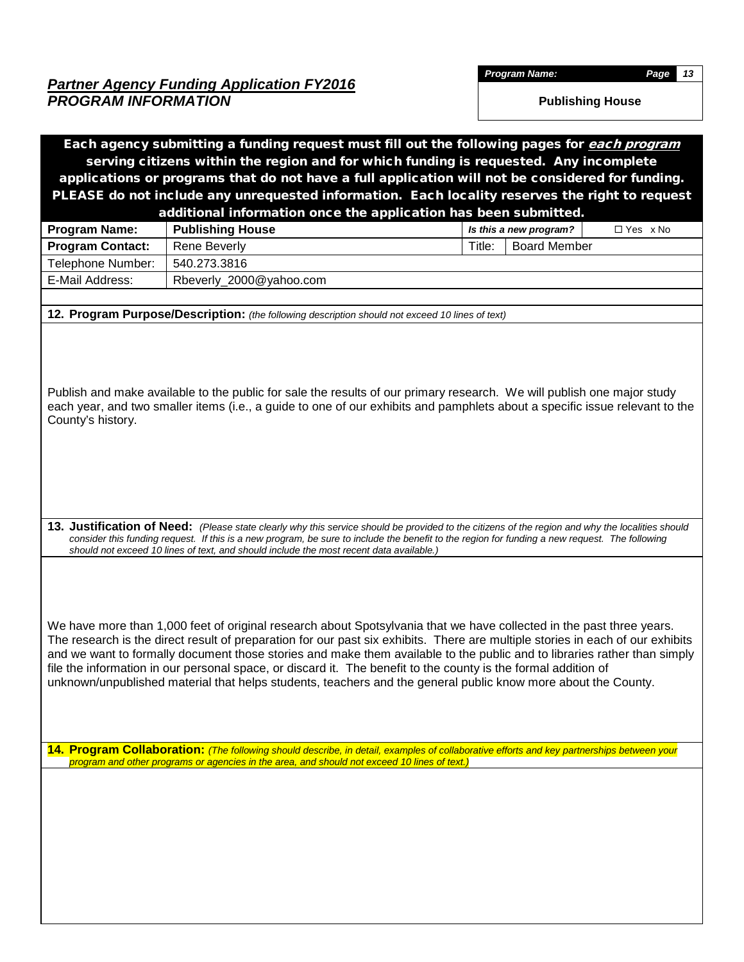*Program Name: Page 13*

|                         | Each agency submitting a funding request must fill out the following pages for each program                                                                                                                                                                                                                                                                                                                                                                                                                                                                                                                           |                                      |
|-------------------------|-----------------------------------------------------------------------------------------------------------------------------------------------------------------------------------------------------------------------------------------------------------------------------------------------------------------------------------------------------------------------------------------------------------------------------------------------------------------------------------------------------------------------------------------------------------------------------------------------------------------------|--------------------------------------|
|                         | serving citizens within the region and for which funding is requested. Any incomplete                                                                                                                                                                                                                                                                                                                                                                                                                                                                                                                                 |                                      |
|                         | applications or programs that do not have a full application will not be considered for funding.                                                                                                                                                                                                                                                                                                                                                                                                                                                                                                                      |                                      |
|                         | PLEASE do not include any unrequested information. Each locality reserves the right to request                                                                                                                                                                                                                                                                                                                                                                                                                                                                                                                        |                                      |
|                         | additional information once the application has been submitted.                                                                                                                                                                                                                                                                                                                                                                                                                                                                                                                                                       |                                      |
| <b>Program Name:</b>    | <b>Publishing House</b>                                                                                                                                                                                                                                                                                                                                                                                                                                                                                                                                                                                               | □ Yes x No<br>Is this a new program? |
| <b>Program Contact:</b> | <b>Rene Beverly</b>                                                                                                                                                                                                                                                                                                                                                                                                                                                                                                                                                                                                   | <b>Board Member</b><br>Title:        |
| Telephone Number:       | 540.273.3816                                                                                                                                                                                                                                                                                                                                                                                                                                                                                                                                                                                                          |                                      |
| E-Mail Address:         | Rbeverly_2000@yahoo.com                                                                                                                                                                                                                                                                                                                                                                                                                                                                                                                                                                                               |                                      |
|                         |                                                                                                                                                                                                                                                                                                                                                                                                                                                                                                                                                                                                                       |                                      |
|                         | 12. Program Purpose/Description: (the following description should not exceed 10 lines of text)                                                                                                                                                                                                                                                                                                                                                                                                                                                                                                                       |                                      |
| County's history.       | Publish and make available to the public for sale the results of our primary research. We will publish one major study<br>each year, and two smaller items (i.e., a guide to one of our exhibits and pamphlets about a specific issue relevant to the                                                                                                                                                                                                                                                                                                                                                                 |                                      |
|                         | 13. Justification of Need: (Please state clearly why this service should be provided to the citizens of the region and why the localities should<br>consider this funding request. If this is a new program, be sure to include the benefit to the region for funding a new request. The following<br>should not exceed 10 lines of text, and should include the most recent data available.)                                                                                                                                                                                                                         |                                      |
|                         | We have more than 1,000 feet of original research about Spotsylvania that we have collected in the past three years.<br>The research is the direct result of preparation for our past six exhibits. There are multiple stories in each of our exhibits<br>and we want to formally document those stories and make them available to the public and to libraries rather than simply<br>file the information in our personal space, or discard it. The benefit to the county is the formal addition of<br>unknown/unpublished material that helps students, teachers and the general public know more about the County. |                                      |
|                         | 14. Program Collaboration: (The following should describe, in detail, examples of collaborative efforts and key partnerships between your<br>program and other programs or agencies in the area, and should not exceed 10 lines of text.)                                                                                                                                                                                                                                                                                                                                                                             |                                      |
|                         |                                                                                                                                                                                                                                                                                                                                                                                                                                                                                                                                                                                                                       |                                      |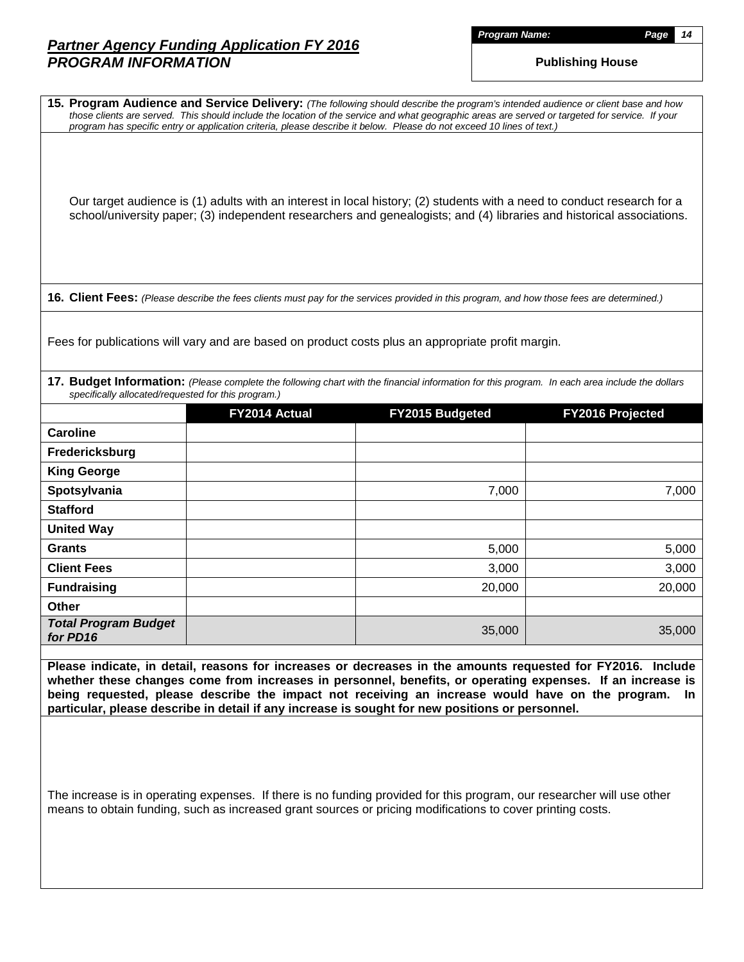*Program Name: Page 14*

|                                                     |               | 15. Program Audience and Service Delivery: (The following should describe the program's intended audience or client base and how<br>those clients are served. This should include the location of the service and what geographic areas are served or targeted for service. If your<br>program has specific entry or application criteria, please describe it below. Please do not exceed 10 lines of text.)                     |                  |
|-----------------------------------------------------|---------------|----------------------------------------------------------------------------------------------------------------------------------------------------------------------------------------------------------------------------------------------------------------------------------------------------------------------------------------------------------------------------------------------------------------------------------|------------------|
|                                                     |               | Our target audience is (1) adults with an interest in local history; (2) students with a need to conduct research for a<br>school/university paper; (3) independent researchers and genealogists; and (4) libraries and historical associations.                                                                                                                                                                                 |                  |
|                                                     |               | 16. Client Fees: (Please describe the fees clients must pay for the services provided in this program, and how those fees are determined.)                                                                                                                                                                                                                                                                                       |                  |
|                                                     |               | Fees for publications will vary and are based on product costs plus an appropriate profit margin.                                                                                                                                                                                                                                                                                                                                |                  |
| specifically allocated/requested for this program.) |               | 17. Budget Information: (Please complete the following chart with the financial information for this program. In each area include the dollars                                                                                                                                                                                                                                                                                   |                  |
|                                                     | FY2014 Actual | FY2015 Budgeted                                                                                                                                                                                                                                                                                                                                                                                                                  | FY2016 Projected |
| <b>Caroline</b>                                     |               |                                                                                                                                                                                                                                                                                                                                                                                                                                  |                  |
| Fredericksburg                                      |               |                                                                                                                                                                                                                                                                                                                                                                                                                                  |                  |
| <b>King George</b>                                  |               |                                                                                                                                                                                                                                                                                                                                                                                                                                  |                  |
| Spotsylvania                                        |               | 7,000                                                                                                                                                                                                                                                                                                                                                                                                                            | 7,000            |
| <b>Stafford</b>                                     |               |                                                                                                                                                                                                                                                                                                                                                                                                                                  |                  |
| <b>United Way</b>                                   |               |                                                                                                                                                                                                                                                                                                                                                                                                                                  |                  |
| <b>Grants</b>                                       |               | 5,000                                                                                                                                                                                                                                                                                                                                                                                                                            | 5,000            |
| <b>Client Fees</b>                                  |               | 3,000                                                                                                                                                                                                                                                                                                                                                                                                                            | 3,000            |
| <b>Fundraising</b>                                  |               | 20,000                                                                                                                                                                                                                                                                                                                                                                                                                           | 20,000           |
| Other                                               |               |                                                                                                                                                                                                                                                                                                                                                                                                                                  |                  |
| <b>Total Program Budget</b><br>for PD16             |               | 35,000                                                                                                                                                                                                                                                                                                                                                                                                                           | 35,000           |
|                                                     |               | Please indicate, in detail, reasons for increases or decreases in the amounts requested for FY2016. Include<br>whether these changes come from increases in personnel, benefits, or operating expenses. If an increase is<br>being requested, please describe the impact not receiving an increase would have on the program.<br>particular, please describe in detail if any increase is sought for new positions or personnel. | -In              |
|                                                     |               | The increase is in operating expenses. If there is no funding provided for this program, our researcher will use other<br>means to obtain funding, such as increased grant sources or pricing modifications to cover printing costs.                                                                                                                                                                                             |                  |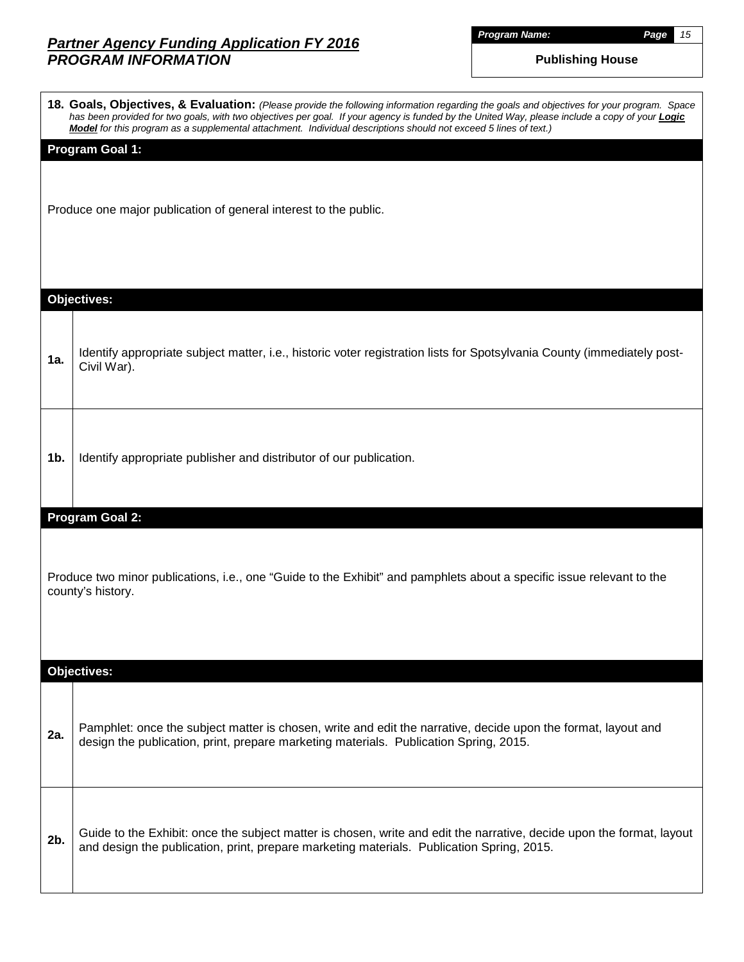*Program Name: Page 15*

|                | 18. Goals, Objectives, & Evaluation: (Please provide the following information regarding the goals and objectives for your program. Space<br>has been provided for two goals, with two objectives per goal. If your agency is funded by the United Way, please include a copy of your <b>Logic</b><br>Model for this program as a supplemental attachment. Individual descriptions should not exceed 5 lines of text.) |
|----------------|------------------------------------------------------------------------------------------------------------------------------------------------------------------------------------------------------------------------------------------------------------------------------------------------------------------------------------------------------------------------------------------------------------------------|
|                | <b>Program Goal 1:</b><br>Produce one major publication of general interest to the public.                                                                                                                                                                                                                                                                                                                             |
|                | <b>Objectives:</b>                                                                                                                                                                                                                                                                                                                                                                                                     |
| 1a.            | Identify appropriate subject matter, i.e., historic voter registration lists for Spotsylvania County (immediately post-<br>Civil War).                                                                                                                                                                                                                                                                                 |
| 1 <sub>b</sub> | Identify appropriate publisher and distributor of our publication.                                                                                                                                                                                                                                                                                                                                                     |
|                | <b>Program Goal 2:</b><br>Produce two minor publications, i.e., one "Guide to the Exhibit" and pamphlets about a specific issue relevant to the<br>county's history.                                                                                                                                                                                                                                                   |
|                | <b>Objectives:</b>                                                                                                                                                                                                                                                                                                                                                                                                     |
| 2a.            | Pamphlet: once the subject matter is chosen, write and edit the narrative, decide upon the format, layout and<br>design the publication, print, prepare marketing materials. Publication Spring, 2015.                                                                                                                                                                                                                 |
| $2b$ .         | Guide to the Exhibit: once the subject matter is chosen, write and edit the narrative, decide upon the format, layout<br>and design the publication, print, prepare marketing materials. Publication Spring, 2015.                                                                                                                                                                                                     |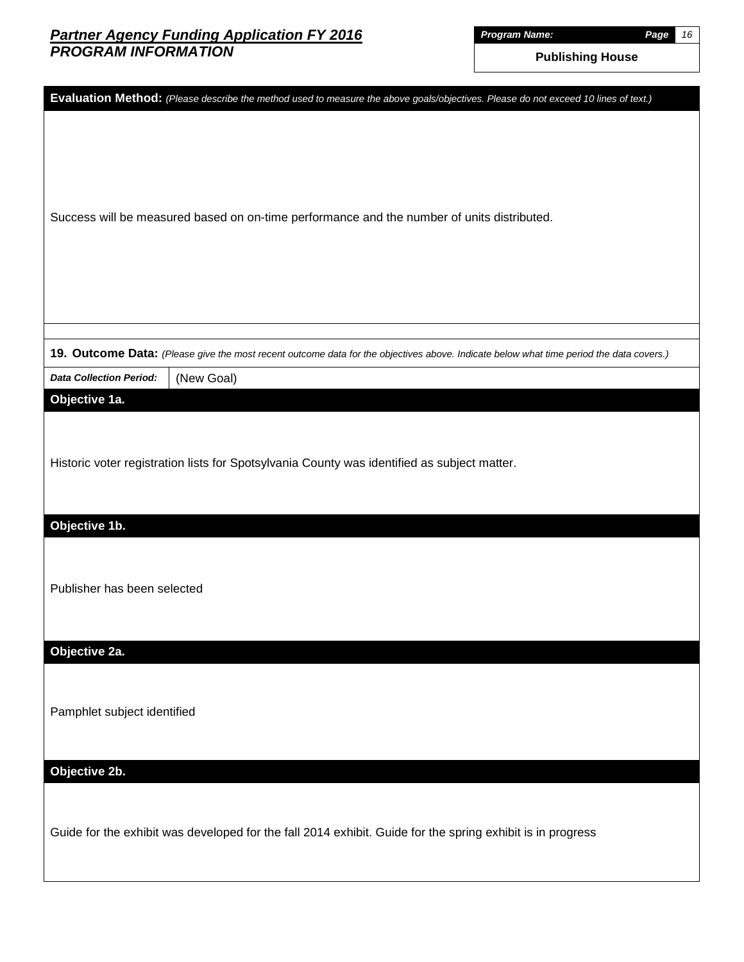*Program Name: Page 16*

| Evaluation Method: (Please describe the method used to measure the above goals/objectives. Please do not exceed 10 lines of text.)      |
|-----------------------------------------------------------------------------------------------------------------------------------------|
| Success will be measured based on on-time performance and the number of units distributed.                                              |
|                                                                                                                                         |
| 19. Outcome Data: (Please give the most recent outcome data for the objectives above. Indicate below what time period the data covers.) |
| <b>Data Collection Period:</b><br>(New Goal)                                                                                            |
| Objective 1a.                                                                                                                           |
| Historic voter registration lists for Spotsylvania County was identified as subject matter.                                             |
| Objective 1b.                                                                                                                           |
| Publisher has been selected                                                                                                             |
| Objective 2a.                                                                                                                           |
| Pamphlet subject identified                                                                                                             |
| Objective 2b.                                                                                                                           |
| Guide for the exhibit was developed for the fall 2014 exhibit. Guide for the spring exhibit is in progress                              |
|                                                                                                                                         |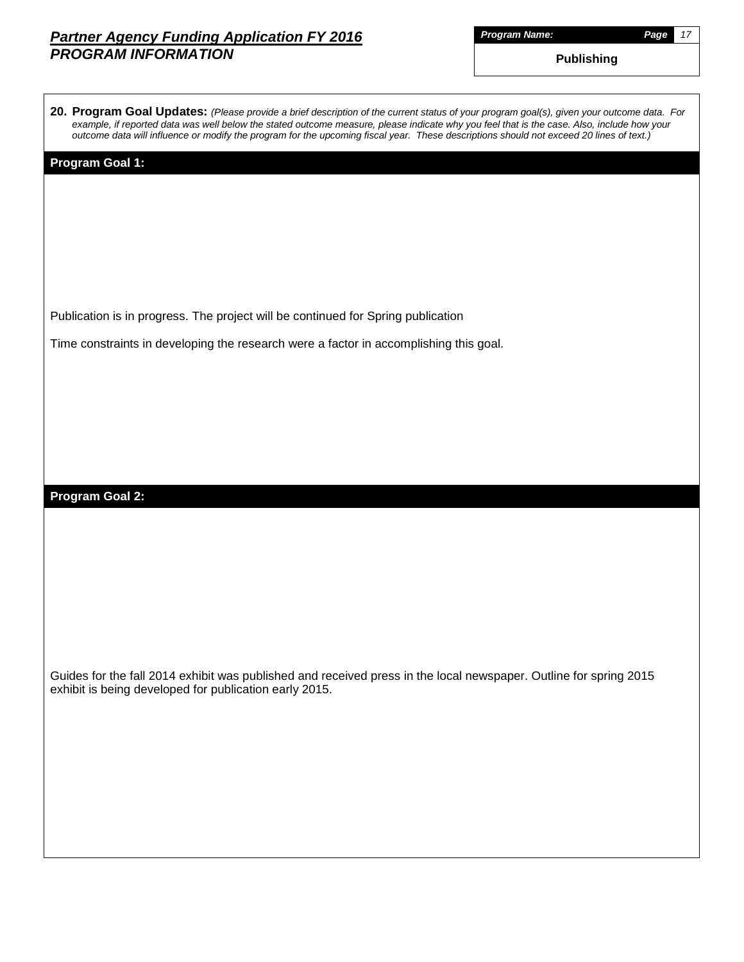|         |  | Name: |
|---------|--|-------|
| Proaram |  |       |

*Program Name: Page 17*

**Publishing**

| 20. Program Goal Updates: (Please provide a brief description of the current status of your program goal(s), given your outcome data. For  |
|--------------------------------------------------------------------------------------------------------------------------------------------|
| example, if reported data was well below the stated outcome measure, please indicate why you feel that is the case. Also, include how your |
| outcome data will influence or modify the program for the upcoming fiscal year. These descriptions should not exceed 20 lines of text.)    |

#### **Program Goal 1:**

Publication is in progress. The project will be continued for Spring publication

Time constraints in developing the research were a factor in accomplishing this goal.

#### **Program Goal 2:**

Guides for the fall 2014 exhibit was published and received press in the local newspaper. Outline for spring 2015 exhibit is being developed for publication early 2015.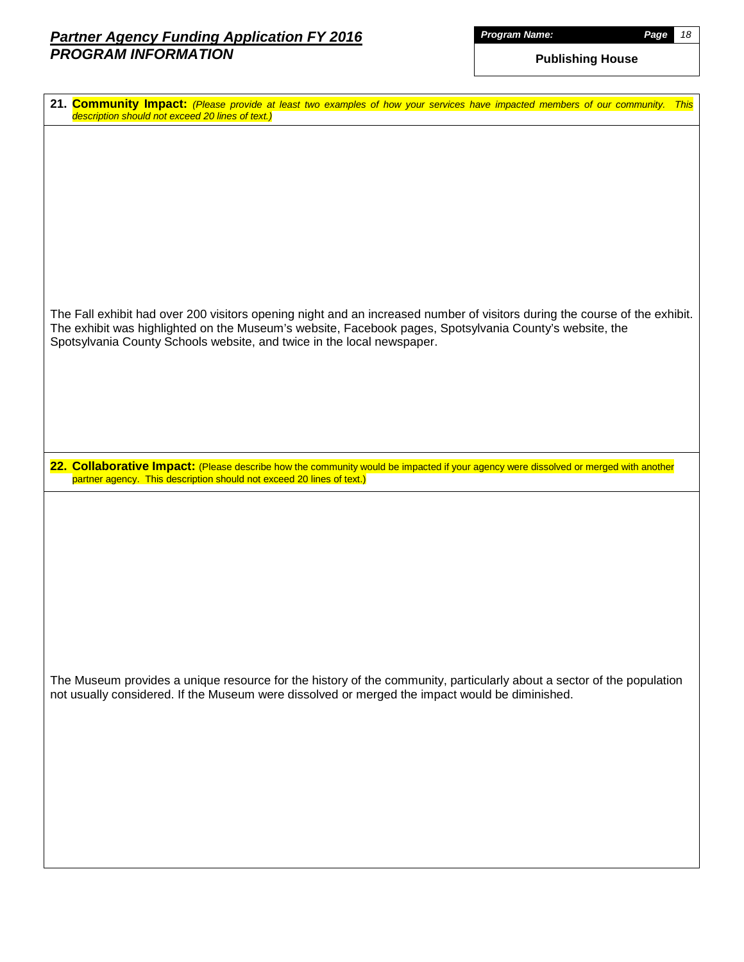| Proaram |  |  |  | Name: |
|---------|--|--|--|-------|
|         |  |  |  |       |

| 21. Community Impact: (Please provide at least two examples of how your services have impacted members of our community. This<br>description should not exceed 20 lines of text.)                                                                                                                               |
|-----------------------------------------------------------------------------------------------------------------------------------------------------------------------------------------------------------------------------------------------------------------------------------------------------------------|
|                                                                                                                                                                                                                                                                                                                 |
|                                                                                                                                                                                                                                                                                                                 |
|                                                                                                                                                                                                                                                                                                                 |
|                                                                                                                                                                                                                                                                                                                 |
|                                                                                                                                                                                                                                                                                                                 |
|                                                                                                                                                                                                                                                                                                                 |
| The Fall exhibit had over 200 visitors opening night and an increased number of visitors during the course of the exhibit.<br>The exhibit was highlighted on the Museum's website, Facebook pages, Spotsylvania County's website, the<br>Spotsylvania County Schools website, and twice in the local newspaper. |
|                                                                                                                                                                                                                                                                                                                 |
|                                                                                                                                                                                                                                                                                                                 |
|                                                                                                                                                                                                                                                                                                                 |
| 22. Collaborative Impact: (Please describe how the community would be impacted if your agency were dissolved or merged with another<br>partner agency. This description should not exceed 20 lines of text.)                                                                                                    |
|                                                                                                                                                                                                                                                                                                                 |
|                                                                                                                                                                                                                                                                                                                 |
|                                                                                                                                                                                                                                                                                                                 |
|                                                                                                                                                                                                                                                                                                                 |
|                                                                                                                                                                                                                                                                                                                 |
|                                                                                                                                                                                                                                                                                                                 |
|                                                                                                                                                                                                                                                                                                                 |
| The Museum provides a unique resource for the history of the community, particularly about a sector of the population<br>not usually considered. If the Museum were dissolved or merged the impact would be diminished.                                                                                         |
|                                                                                                                                                                                                                                                                                                                 |
|                                                                                                                                                                                                                                                                                                                 |
|                                                                                                                                                                                                                                                                                                                 |
|                                                                                                                                                                                                                                                                                                                 |
|                                                                                                                                                                                                                                                                                                                 |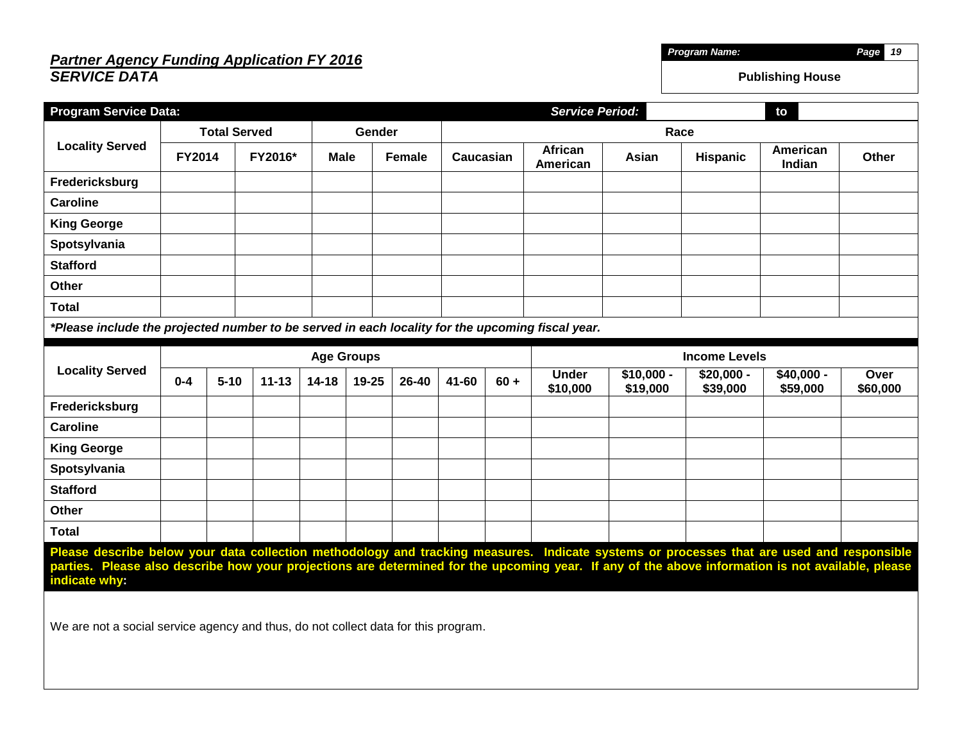## *Partner Agency Funding Application FY 2016 SERVICE DATA*

| <b>Program Service Data:</b>                                                                                                                                                                                                                                                                                                                                                                          | <b>Service Period:</b><br>to |                     |           |                   |        |                     |       |                     |                          |                         |                         |                         |                  |
|-------------------------------------------------------------------------------------------------------------------------------------------------------------------------------------------------------------------------------------------------------------------------------------------------------------------------------------------------------------------------------------------------------|------------------------------|---------------------|-----------|-------------------|--------|---------------------|-------|---------------------|--------------------------|-------------------------|-------------------------|-------------------------|------------------|
|                                                                                                                                                                                                                                                                                                                                                                                                       |                              | <b>Total Served</b> |           |                   | Gender |                     |       |                     |                          | Race                    |                         |                         |                  |
| <b>Locality Served</b>                                                                                                                                                                                                                                                                                                                                                                                | <b>FY2014</b>                |                     | FY2016*   | <b>Male</b>       |        | Female<br>Caucasian |       | African<br>American | Asian                    | Hispanic                | American<br>Indian      | <b>Other</b>            |                  |
| Fredericksburg                                                                                                                                                                                                                                                                                                                                                                                        |                              |                     |           |                   |        |                     |       |                     |                          |                         |                         |                         |                  |
| <b>Caroline</b>                                                                                                                                                                                                                                                                                                                                                                                       |                              |                     |           |                   |        |                     |       |                     |                          |                         |                         |                         |                  |
| <b>King George</b>                                                                                                                                                                                                                                                                                                                                                                                    |                              |                     |           |                   |        |                     |       |                     |                          |                         |                         |                         |                  |
| Spotsylvania                                                                                                                                                                                                                                                                                                                                                                                          |                              |                     |           |                   |        |                     |       |                     |                          |                         |                         |                         |                  |
| <b>Stafford</b>                                                                                                                                                                                                                                                                                                                                                                                       |                              |                     |           |                   |        |                     |       |                     |                          |                         |                         |                         |                  |
| <b>Other</b>                                                                                                                                                                                                                                                                                                                                                                                          |                              |                     |           |                   |        |                     |       |                     |                          |                         |                         |                         |                  |
| <b>Total</b>                                                                                                                                                                                                                                                                                                                                                                                          |                              |                     |           |                   |        |                     |       |                     |                          |                         |                         |                         |                  |
| *Please include the projected number to be served in each locality for the upcoming fiscal year.                                                                                                                                                                                                                                                                                                      |                              |                     |           |                   |        |                     |       |                     |                          |                         |                         |                         |                  |
|                                                                                                                                                                                                                                                                                                                                                                                                       |                              |                     |           | <b>Age Groups</b> |        |                     |       |                     |                          |                         | <b>Income Levels</b>    |                         |                  |
| <b>Locality Served</b>                                                                                                                                                                                                                                                                                                                                                                                | $0 - 4$                      | $5 - 10$            | $11 - 13$ | $14 - 18$         | 19-25  | 26-40               | 41-60 | $60 +$              | <b>Under</b><br>\$10,000 | $$10,000 -$<br>\$19,000 | $$20,000 -$<br>\$39,000 | $$40,000 -$<br>\$59,000 | Over<br>\$60,000 |
| Fredericksburg                                                                                                                                                                                                                                                                                                                                                                                        |                              |                     |           |                   |        |                     |       |                     |                          |                         |                         |                         |                  |
| <b>Caroline</b>                                                                                                                                                                                                                                                                                                                                                                                       |                              |                     |           |                   |        |                     |       |                     |                          |                         |                         |                         |                  |
| <b>King George</b>                                                                                                                                                                                                                                                                                                                                                                                    |                              |                     |           |                   |        |                     |       |                     |                          |                         |                         |                         |                  |
| Spotsylvania                                                                                                                                                                                                                                                                                                                                                                                          |                              |                     |           |                   |        |                     |       |                     |                          |                         |                         |                         |                  |
| <b>Stafford</b>                                                                                                                                                                                                                                                                                                                                                                                       |                              |                     |           |                   |        |                     |       |                     |                          |                         |                         |                         |                  |
| Other                                                                                                                                                                                                                                                                                                                                                                                                 |                              |                     |           |                   |        |                     |       |                     |                          |                         |                         |                         |                  |
| <b>Total</b>                                                                                                                                                                                                                                                                                                                                                                                          |                              |                     |           |                   |        |                     |       |                     |                          |                         |                         |                         |                  |
| Please describe below your data collection methodology and tracking measures. Indicate systems or processes that are used and responsible<br>parties. Please also describe how your projections are determined for the upcoming year. If any of the above information is not available, please<br>indicate why:<br>We are not a social service agency and thus, do not collect data for this program. |                              |                     |           |                   |        |                     |       |                     |                          |                         |                         |                         |                  |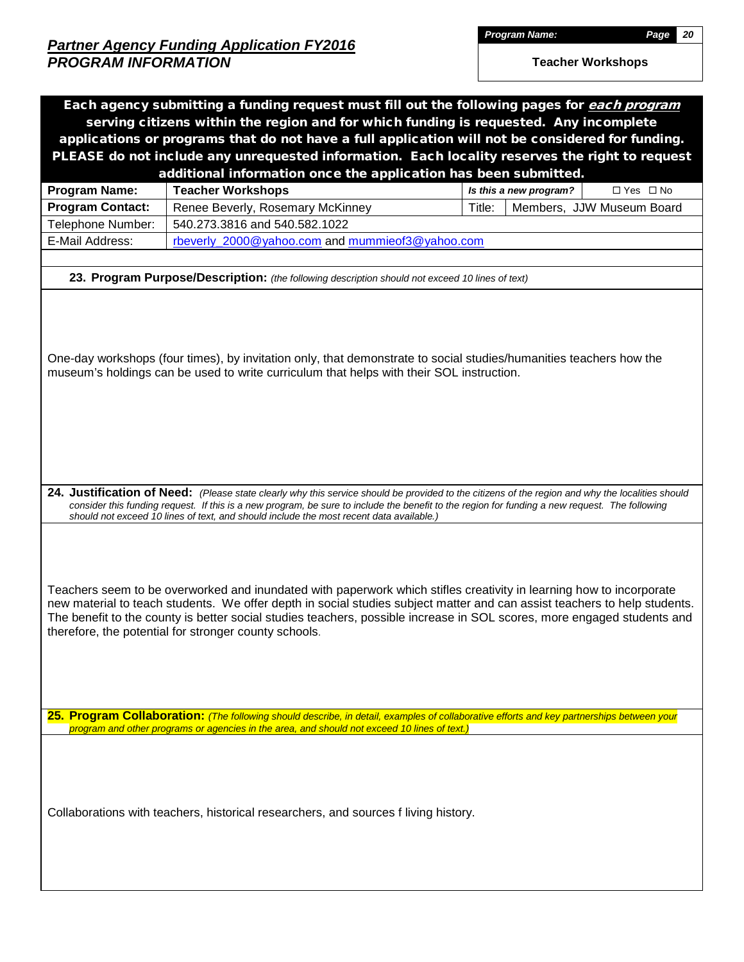|                         |                                                                                                 | Each agency submitting a funding request must fill out the following pages for each program<br>serving citizens within the region and for which funding is requested. Any incomplete<br>applications or programs that do not have a full application will not be considered for funding.                                                                                    |
|-------------------------|-------------------------------------------------------------------------------------------------|-----------------------------------------------------------------------------------------------------------------------------------------------------------------------------------------------------------------------------------------------------------------------------------------------------------------------------------------------------------------------------|
|                         |                                                                                                 | PLEASE do not include any unrequested information. Each locality reserves the right to request                                                                                                                                                                                                                                                                              |
|                         | additional information once the application has been submitted.                                 |                                                                                                                                                                                                                                                                                                                                                                             |
| Program Name:           | <b>Teacher Workshops</b>                                                                        | $\Box$ Yes $\Box$ No<br>Is this a new program?                                                                                                                                                                                                                                                                                                                              |
| <b>Program Contact:</b> | Renee Beverly, Rosemary McKinney                                                                | Title:<br>Members, JJW Museum Board                                                                                                                                                                                                                                                                                                                                         |
| Telephone Number:       | 540.273.3816 and 540.582.1022                                                                   |                                                                                                                                                                                                                                                                                                                                                                             |
| E-Mail Address:         | rbeverly 2000@yahoo.com and mummieof3@yahoo.com                                                 |                                                                                                                                                                                                                                                                                                                                                                             |
|                         | 23. Program Purpose/Description: (the following description should not exceed 10 lines of text) |                                                                                                                                                                                                                                                                                                                                                                             |
|                         | museum's holdings can be used to write curriculum that helps with their SOL instruction.        | One-day workshops (four times), by invitation only, that demonstrate to social studies/humanities teachers how the                                                                                                                                                                                                                                                          |
|                         | should not exceed 10 lines of text, and should include the most recent data available.)         | 24. Justification of Need: (Please state clearly why this service should be provided to the citizens of the region and why the localities should<br>consider this funding request. If this is a new program, be sure to include the benefit to the region for funding a new request. The following                                                                          |
|                         | therefore, the potential for stronger county schools.                                           | Teachers seem to be overworked and inundated with paperwork which stifles creativity in learning how to incorporate<br>new material to teach students. We offer depth in social studies subject matter and can assist teachers to help students.<br>The benefit to the county is better social studies teachers, possible increase in SOL scores, more engaged students and |
|                         | program and other programs or agencies in the area, and should not exceed 10 lines of text.)    | 25. Program Collaboration: (The following should describe, in detail, examples of collaborative efforts and key partnerships between your                                                                                                                                                                                                                                   |
|                         | Collaborations with teachers, historical researchers, and sources f living history.             |                                                                                                                                                                                                                                                                                                                                                                             |
|                         |                                                                                                 |                                                                                                                                                                                                                                                                                                                                                                             |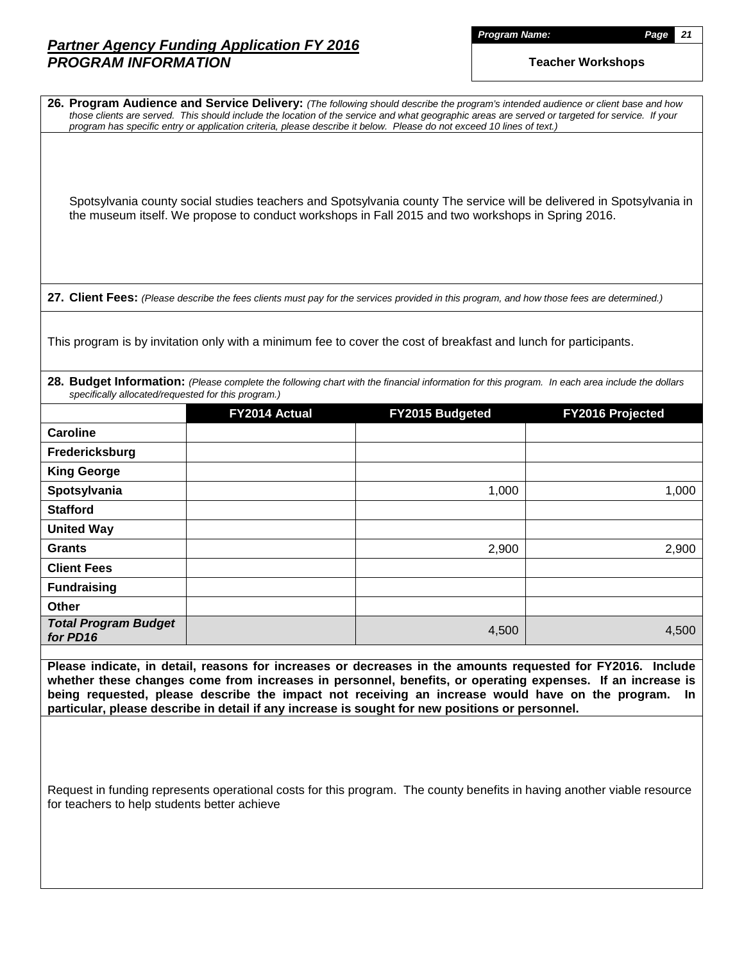*Program Name: Page 21*

|                                                     |               | 26. Program Audience and Service Delivery: (The following should describe the program's intended audience or client base and how<br>those clients are served. This should include the location of the service and what geographic areas are served or targeted for service. If your<br>program has specific entry or application criteria, please describe it below. Please do not exceed 10 lines of text.)                     |                  |
|-----------------------------------------------------|---------------|----------------------------------------------------------------------------------------------------------------------------------------------------------------------------------------------------------------------------------------------------------------------------------------------------------------------------------------------------------------------------------------------------------------------------------|------------------|
|                                                     |               | Spotsylvania county social studies teachers and Spotsylvania county The service will be delivered in Spotsylvania in<br>the museum itself. We propose to conduct workshops in Fall 2015 and two workshops in Spring 2016.                                                                                                                                                                                                        |                  |
|                                                     |               | 27. Client Fees: (Please describe the fees clients must pay for the services provided in this program, and how those fees are determined.)                                                                                                                                                                                                                                                                                       |                  |
|                                                     |               | This program is by invitation only with a minimum fee to cover the cost of breakfast and lunch for participants.                                                                                                                                                                                                                                                                                                                 |                  |
| specifically allocated/requested for this program.) |               | 28. Budget Information: (Please complete the following chart with the financial information for this program. In each area include the dollars                                                                                                                                                                                                                                                                                   |                  |
|                                                     | FY2014 Actual | FY2015 Budgeted                                                                                                                                                                                                                                                                                                                                                                                                                  | FY2016 Projected |
| <b>Caroline</b>                                     |               |                                                                                                                                                                                                                                                                                                                                                                                                                                  |                  |
| Fredericksburg                                      |               |                                                                                                                                                                                                                                                                                                                                                                                                                                  |                  |
| <b>King George</b>                                  |               |                                                                                                                                                                                                                                                                                                                                                                                                                                  |                  |
| Spotsylvania                                        |               | 1,000                                                                                                                                                                                                                                                                                                                                                                                                                            | 1,000            |
| <b>Stafford</b>                                     |               |                                                                                                                                                                                                                                                                                                                                                                                                                                  |                  |
| <b>United Way</b>                                   |               |                                                                                                                                                                                                                                                                                                                                                                                                                                  |                  |
| <b>Grants</b>                                       |               | 2,900                                                                                                                                                                                                                                                                                                                                                                                                                            | 2,900            |
| <b>Client Fees</b>                                  |               |                                                                                                                                                                                                                                                                                                                                                                                                                                  |                  |
| <b>Fundraising</b>                                  |               |                                                                                                                                                                                                                                                                                                                                                                                                                                  |                  |
| <b>Other</b>                                        |               |                                                                                                                                                                                                                                                                                                                                                                                                                                  |                  |
| <b>Total Program Budget</b><br>for PD16             |               | 4,500                                                                                                                                                                                                                                                                                                                                                                                                                            | 4,500            |
|                                                     |               | Please indicate, in detail, reasons for increases or decreases in the amounts requested for FY2016. Include<br>whether these changes come from increases in personnel, benefits, or operating expenses. If an increase is<br>being requested, please describe the impact not receiving an increase would have on the program.<br>particular, please describe in detail if any increase is sought for new positions or personnel. | In.              |
| for teachers to help students better achieve        |               | Request in funding represents operational costs for this program. The county benefits in having another viable resource                                                                                                                                                                                                                                                                                                          |                  |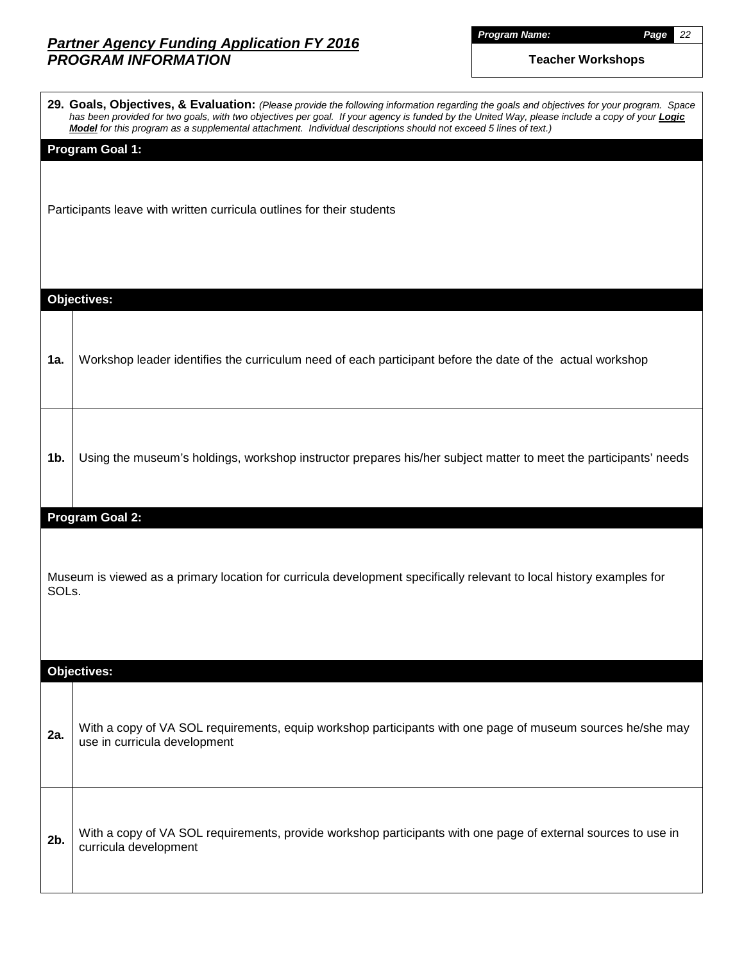*Program Name: Page 22*

| 29. Goals, Objectives, & Evaluation: (Please provide the following information regarding the goals and objectives for your program. Space<br>has been provided for two goals, with two objectives per goal. If your agency is funded by the United Way, please include a copy of your <b>Logic</b><br>Model for this program as a supplemental attachment. Individual descriptions should not exceed 5 lines of text.) |
|------------------------------------------------------------------------------------------------------------------------------------------------------------------------------------------------------------------------------------------------------------------------------------------------------------------------------------------------------------------------------------------------------------------------|
| <b>Program Goal 1:</b><br>Participants leave with written curricula outlines for their students                                                                                                                                                                                                                                                                                                                        |
| <b>Objectives:</b>                                                                                                                                                                                                                                                                                                                                                                                                     |
| Workshop leader identifies the curriculum need of each participant before the date of the actual workshop                                                                                                                                                                                                                                                                                                              |
| Using the museum's holdings, workshop instructor prepares his/her subject matter to meet the participants' needs                                                                                                                                                                                                                                                                                                       |
| <b>Program Goal 2:</b>                                                                                                                                                                                                                                                                                                                                                                                                 |
| Museum is viewed as a primary location for curricula development specifically relevant to local history examples for<br>SOLs.                                                                                                                                                                                                                                                                                          |
| <b>Objectives:</b>                                                                                                                                                                                                                                                                                                                                                                                                     |
| With a copy of VA SOL requirements, equip workshop participants with one page of museum sources he/she may<br>use in curricula development                                                                                                                                                                                                                                                                             |
| With a copy of VA SOL requirements, provide workshop participants with one page of external sources to use in<br>curricula development                                                                                                                                                                                                                                                                                 |
|                                                                                                                                                                                                                                                                                                                                                                                                                        |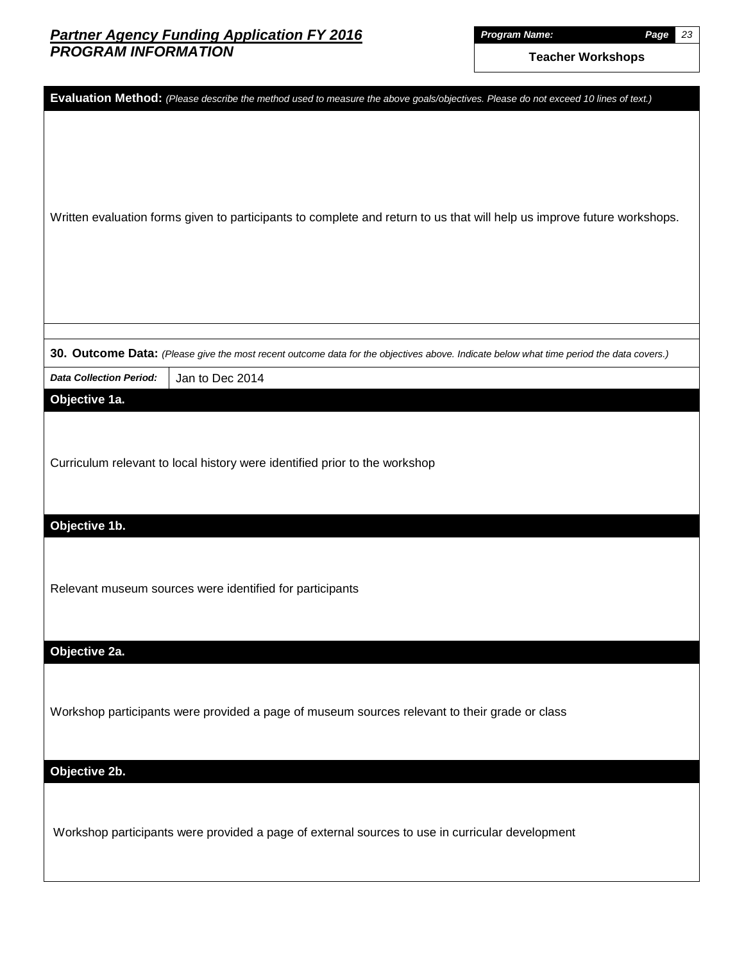| Evaluation Method: (Please describe the method used to measure the above goals/objectives. Please do not exceed 10 lines of text.)      |
|-----------------------------------------------------------------------------------------------------------------------------------------|
|                                                                                                                                         |
|                                                                                                                                         |
|                                                                                                                                         |
|                                                                                                                                         |
| Written evaluation forms given to participants to complete and return to us that will help us improve future workshops.                 |
|                                                                                                                                         |
|                                                                                                                                         |
|                                                                                                                                         |
|                                                                                                                                         |
|                                                                                                                                         |
| 30. Outcome Data: (Please give the most recent outcome data for the objectives above. Indicate below what time period the data covers.) |
| Jan to Dec 2014<br><b>Data Collection Period:</b>                                                                                       |
| Objective 1a.                                                                                                                           |
|                                                                                                                                         |
| Curriculum relevant to local history were identified prior to the workshop                                                              |
|                                                                                                                                         |
|                                                                                                                                         |
| Objective 1b.                                                                                                                           |
|                                                                                                                                         |
|                                                                                                                                         |
| Relevant museum sources were identified for participants                                                                                |
|                                                                                                                                         |
| Objective 2a.                                                                                                                           |
|                                                                                                                                         |
|                                                                                                                                         |
| Workshop participants were provided a page of museum sources relevant to their grade or class                                           |
|                                                                                                                                         |
| Objective 2b.                                                                                                                           |
|                                                                                                                                         |
|                                                                                                                                         |
| Workshop participants were provided a page of external sources to use in curricular development                                         |
|                                                                                                                                         |
|                                                                                                                                         |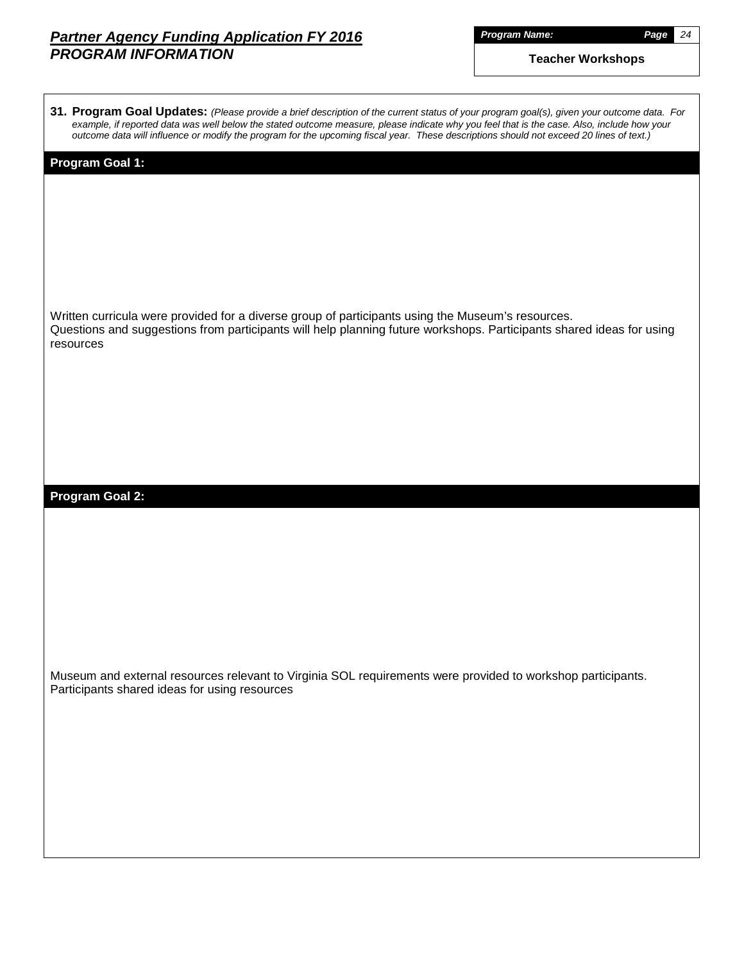| Proaram Name: |  |  |
|---------------|--|--|
|               |  |  |

*Program Name: Page 24*

| 31. Program Goal Updates: (Please provide a brief description of the current status of your program goal(s), given your outcome data. For<br>example, if reported data was well below the stated outcome measure, please indicate why you feel that is the case. Also, include how your<br>outcome data will influence or modify the program for the upcoming fiscal year. These descriptions should not exceed 20 lines of text.) |
|------------------------------------------------------------------------------------------------------------------------------------------------------------------------------------------------------------------------------------------------------------------------------------------------------------------------------------------------------------------------------------------------------------------------------------|
| <b>Program Goal 1:</b>                                                                                                                                                                                                                                                                                                                                                                                                             |
|                                                                                                                                                                                                                                                                                                                                                                                                                                    |
| Written curricula were provided for a diverse group of participants using the Museum's resources.<br>Questions and suggestions from participants will help planning future workshops. Participants shared ideas for using<br>resources                                                                                                                                                                                             |
|                                                                                                                                                                                                                                                                                                                                                                                                                                    |
| <b>Program Goal 2:</b>                                                                                                                                                                                                                                                                                                                                                                                                             |
|                                                                                                                                                                                                                                                                                                                                                                                                                                    |
|                                                                                                                                                                                                                                                                                                                                                                                                                                    |
| Museum and external resources relevant to Virginia SOL requirements were provided to workshop participants.<br>Participants shared ideas for using resources                                                                                                                                                                                                                                                                       |
|                                                                                                                                                                                                                                                                                                                                                                                                                                    |
|                                                                                                                                                                                                                                                                                                                                                                                                                                    |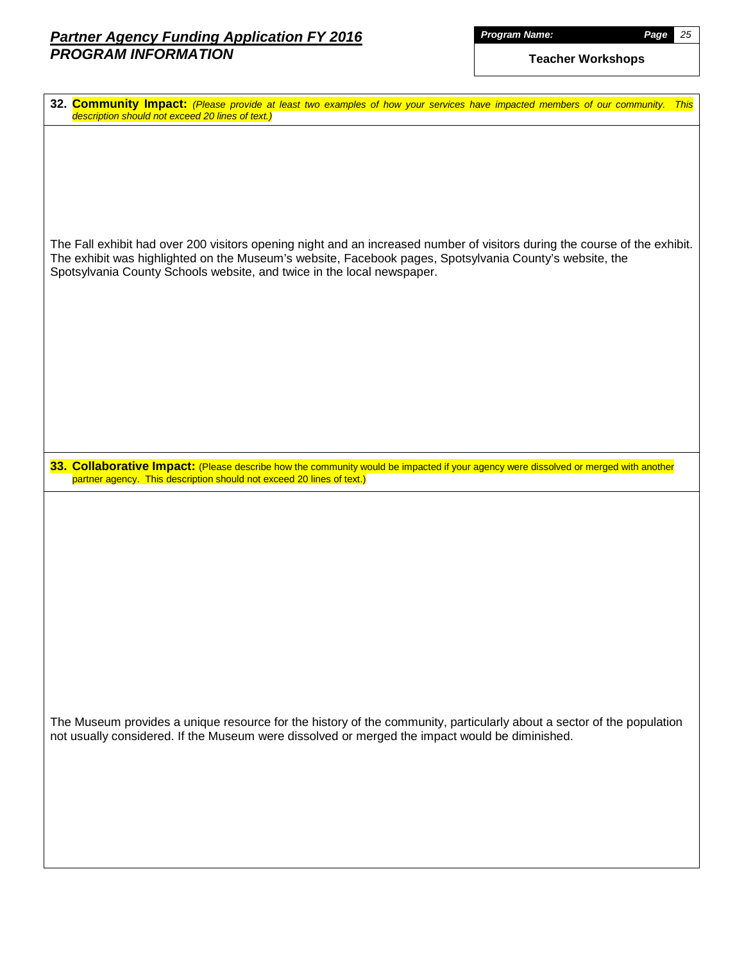|         |  |  | <b>Name:</b> |
|---------|--|--|--------------|
| Proaram |  |  |              |

| 32. Community Impact: (Please provide at least two examples of how your services have impacted members of our community.<br><b>This</b><br>description should not exceed 20 lines of text.)                                                                                                                     |
|-----------------------------------------------------------------------------------------------------------------------------------------------------------------------------------------------------------------------------------------------------------------------------------------------------------------|
|                                                                                                                                                                                                                                                                                                                 |
|                                                                                                                                                                                                                                                                                                                 |
| The Fall exhibit had over 200 visitors opening night and an increased number of visitors during the course of the exhibit.<br>The exhibit was highlighted on the Museum's website, Facebook pages, Spotsylvania County's website, the<br>Spotsylvania County Schools website, and twice in the local newspaper. |
|                                                                                                                                                                                                                                                                                                                 |
|                                                                                                                                                                                                                                                                                                                 |
|                                                                                                                                                                                                                                                                                                                 |
| 33. Collaborative Impact: (Please describe how the community would be impacted if your agency were dissolved or merged with another<br>partner agency. This description should not exceed 20 lines of text.)                                                                                                    |
|                                                                                                                                                                                                                                                                                                                 |
|                                                                                                                                                                                                                                                                                                                 |
|                                                                                                                                                                                                                                                                                                                 |
|                                                                                                                                                                                                                                                                                                                 |
|                                                                                                                                                                                                                                                                                                                 |
| The Museum provides a unique resource for the history of the community, particularly about a sector of the population<br>not usually considered. If the Museum were dissolved or merged the impact would be diminished.                                                                                         |
|                                                                                                                                                                                                                                                                                                                 |
|                                                                                                                                                                                                                                                                                                                 |
|                                                                                                                                                                                                                                                                                                                 |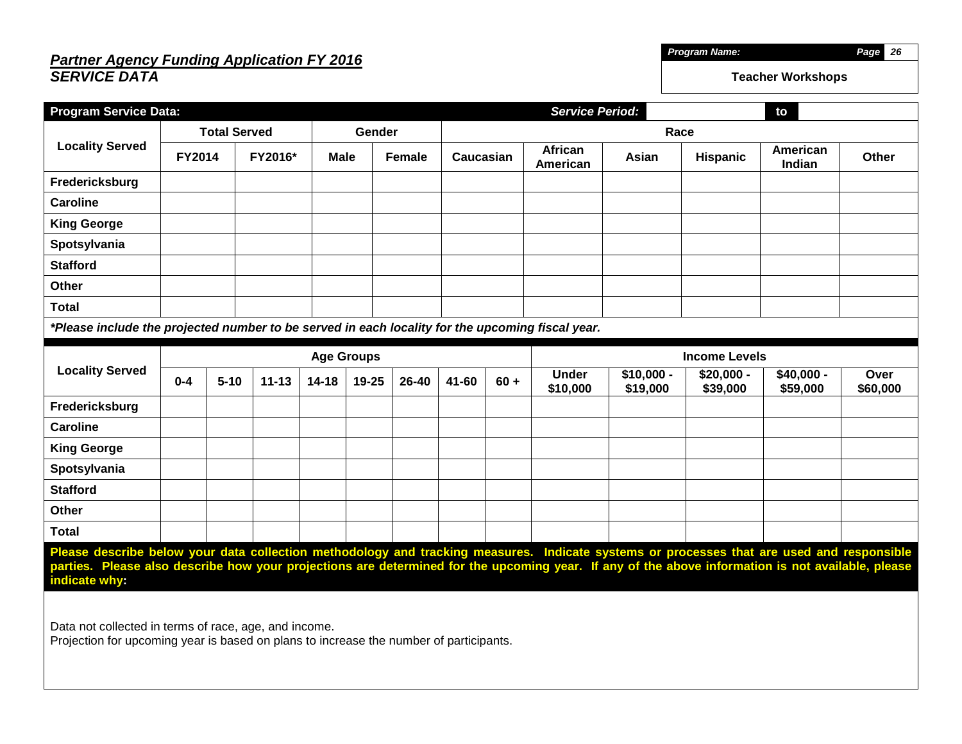## *Partner Agency Funding Application FY 2016 SERVICE DATA*

| <b>Program Service Data:</b>                                                                                                                                                                                                                                                                                    |                   |                                         |           |           |        |                            |                      |          | <b>Service Period:</b>   |                         |                         | to                      |                  |  |
|-----------------------------------------------------------------------------------------------------------------------------------------------------------------------------------------------------------------------------------------------------------------------------------------------------------------|-------------------|-----------------------------------------|-----------|-----------|--------|----------------------------|----------------------|----------|--------------------------|-------------------------|-------------------------|-------------------------|------------------|--|
|                                                                                                                                                                                                                                                                                                                 |                   | <b>Total Served</b>                     |           |           | Gender |                            |                      |          | Race                     |                         |                         |                         |                  |  |
| <b>Locality Served</b>                                                                                                                                                                                                                                                                                          | <b>FY2014</b>     | FY2016*<br><b>Male</b><br><b>Female</b> |           | Caucasian |        | <b>African</b><br>American | Asian                | Hispanic | American<br>Indian       | <b>Other</b>            |                         |                         |                  |  |
| Fredericksburg                                                                                                                                                                                                                                                                                                  |                   |                                         |           |           |        |                            |                      |          |                          |                         |                         |                         |                  |  |
| <b>Caroline</b>                                                                                                                                                                                                                                                                                                 |                   |                                         |           |           |        |                            |                      |          |                          |                         |                         |                         |                  |  |
| <b>King George</b>                                                                                                                                                                                                                                                                                              |                   |                                         |           |           |        |                            |                      |          |                          |                         |                         |                         |                  |  |
| Spotsylvania                                                                                                                                                                                                                                                                                                    |                   |                                         |           |           |        |                            |                      |          |                          |                         |                         |                         |                  |  |
| <b>Stafford</b>                                                                                                                                                                                                                                                                                                 |                   |                                         |           |           |        |                            |                      |          |                          |                         |                         |                         |                  |  |
| Other                                                                                                                                                                                                                                                                                                           |                   |                                         |           |           |        |                            |                      |          |                          |                         |                         |                         |                  |  |
| <b>Total</b>                                                                                                                                                                                                                                                                                                    |                   |                                         |           |           |        |                            |                      |          |                          |                         |                         |                         |                  |  |
| *Please include the projected number to be served in each locality for the upcoming fiscal year.                                                                                                                                                                                                                |                   |                                         |           |           |        |                            |                      |          |                          |                         |                         |                         |                  |  |
|                                                                                                                                                                                                                                                                                                                 | <b>Age Groups</b> |                                         |           |           |        |                            | <b>Income Levels</b> |          |                          |                         |                         |                         |                  |  |
| <b>Locality Served</b>                                                                                                                                                                                                                                                                                          | $0 - 4$           | $5 - 10$                                | $11 - 13$ | $14 - 18$ | 19-25  | 26-40                      | 41-60                | $60 +$   | <b>Under</b><br>\$10,000 | $$10,000 -$<br>\$19,000 | $$20,000 -$<br>\$39,000 | $$40,000 -$<br>\$59,000 | Over<br>\$60,000 |  |
| Fredericksburg                                                                                                                                                                                                                                                                                                  |                   |                                         |           |           |        |                            |                      |          |                          |                         |                         |                         |                  |  |
| <b>Caroline</b>                                                                                                                                                                                                                                                                                                 |                   |                                         |           |           |        |                            |                      |          |                          |                         |                         |                         |                  |  |
| <b>King George</b>                                                                                                                                                                                                                                                                                              |                   |                                         |           |           |        |                            |                      |          |                          |                         |                         |                         |                  |  |
| Spotsylvania                                                                                                                                                                                                                                                                                                    |                   |                                         |           |           |        |                            |                      |          |                          |                         |                         |                         |                  |  |
| <b>Stafford</b>                                                                                                                                                                                                                                                                                                 |                   |                                         |           |           |        |                            |                      |          |                          |                         |                         |                         |                  |  |
| Other                                                                                                                                                                                                                                                                                                           |                   |                                         |           |           |        |                            |                      |          |                          |                         |                         |                         |                  |  |
| <b>Total</b>                                                                                                                                                                                                                                                                                                    |                   |                                         |           |           |        |                            |                      |          |                          |                         |                         |                         |                  |  |
| Please describe below your data collection methodology and tracking measures. Indicate systems or processes that are used and responsible<br>parties. Please also describe how your projections are determined for the upcoming year. If any of the above information is not available, please<br>indicate why: |                   |                                         |           |           |        |                            |                      |          |                          |                         |                         |                         |                  |  |
| Data not collected in terms of race, age, and income.<br>Projection for upcoming year is based on plans to increase the number of participants.                                                                                                                                                                 |                   |                                         |           |           |        |                            |                      |          |                          |                         |                         |                         |                  |  |

**Teacher Workshops**

*Program Name: Page 26*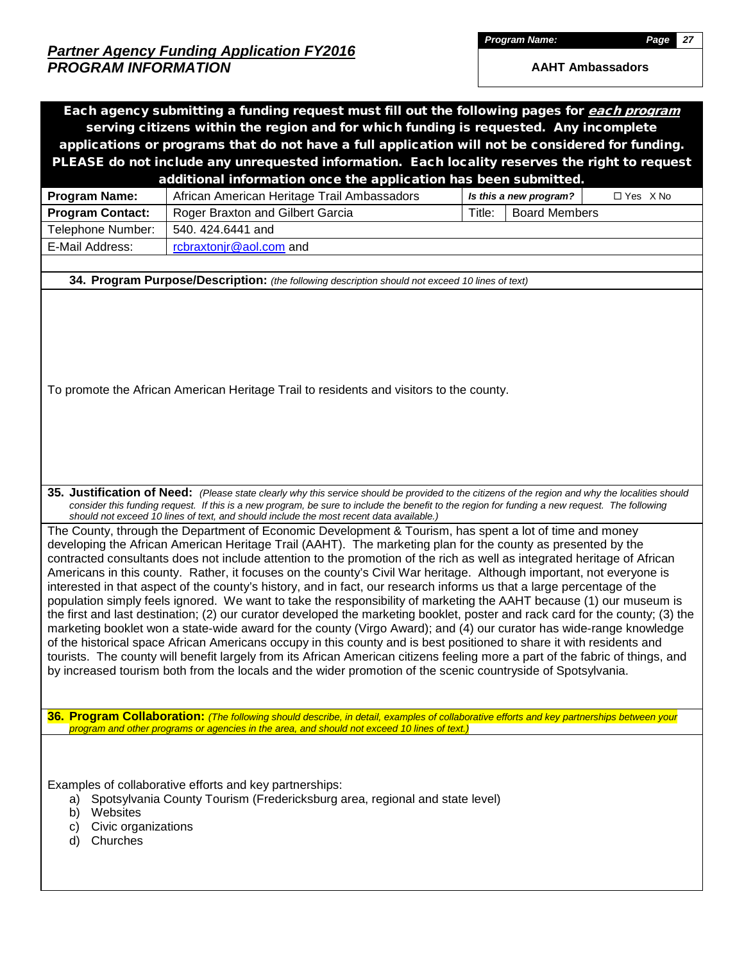*Program Name: Page 27*

|                                                                     | Each agency submitting a funding request must fill out the following pages for each program                                                                                                                                                                                                                                                                                                                                                                                                                                                                                                                                                                                                                                                                                                                                                                                                                                                                                                                                                                                                                                                                                                                                                         |        |                        |            |
|---------------------------------------------------------------------|-----------------------------------------------------------------------------------------------------------------------------------------------------------------------------------------------------------------------------------------------------------------------------------------------------------------------------------------------------------------------------------------------------------------------------------------------------------------------------------------------------------------------------------------------------------------------------------------------------------------------------------------------------------------------------------------------------------------------------------------------------------------------------------------------------------------------------------------------------------------------------------------------------------------------------------------------------------------------------------------------------------------------------------------------------------------------------------------------------------------------------------------------------------------------------------------------------------------------------------------------------|--------|------------------------|------------|
|                                                                     | serving citizens within the region and for which funding is requested. Any incomplete                                                                                                                                                                                                                                                                                                                                                                                                                                                                                                                                                                                                                                                                                                                                                                                                                                                                                                                                                                                                                                                                                                                                                               |        |                        |            |
|                                                                     | applications or programs that do not have a full application will not be considered for funding.                                                                                                                                                                                                                                                                                                                                                                                                                                                                                                                                                                                                                                                                                                                                                                                                                                                                                                                                                                                                                                                                                                                                                    |        |                        |            |
|                                                                     | PLEASE do not include any unrequested information. Each locality reserves the right to request                                                                                                                                                                                                                                                                                                                                                                                                                                                                                                                                                                                                                                                                                                                                                                                                                                                                                                                                                                                                                                                                                                                                                      |        |                        |            |
|                                                                     | additional information once the application has been submitted.                                                                                                                                                                                                                                                                                                                                                                                                                                                                                                                                                                                                                                                                                                                                                                                                                                                                                                                                                                                                                                                                                                                                                                                     |        |                        |            |
| <b>Program Name:</b>                                                | African American Heritage Trail Ambassadors                                                                                                                                                                                                                                                                                                                                                                                                                                                                                                                                                                                                                                                                                                                                                                                                                                                                                                                                                                                                                                                                                                                                                                                                         |        | Is this a new program? | □ Yes X No |
| <b>Program Contact:</b>                                             | Roger Braxton and Gilbert Garcia                                                                                                                                                                                                                                                                                                                                                                                                                                                                                                                                                                                                                                                                                                                                                                                                                                                                                                                                                                                                                                                                                                                                                                                                                    | Title: | <b>Board Members</b>   |            |
| Telephone Number:                                                   | 540, 424, 6441 and                                                                                                                                                                                                                                                                                                                                                                                                                                                                                                                                                                                                                                                                                                                                                                                                                                                                                                                                                                                                                                                                                                                                                                                                                                  |        |                        |            |
| E-Mail Address:                                                     | rcbraxtonjr@aol.com and                                                                                                                                                                                                                                                                                                                                                                                                                                                                                                                                                                                                                                                                                                                                                                                                                                                                                                                                                                                                                                                                                                                                                                                                                             |        |                        |            |
|                                                                     |                                                                                                                                                                                                                                                                                                                                                                                                                                                                                                                                                                                                                                                                                                                                                                                                                                                                                                                                                                                                                                                                                                                                                                                                                                                     |        |                        |            |
|                                                                     | 34. Program Purpose/Description: (the following description should not exceed 10 lines of text)                                                                                                                                                                                                                                                                                                                                                                                                                                                                                                                                                                                                                                                                                                                                                                                                                                                                                                                                                                                                                                                                                                                                                     |        |                        |            |
|                                                                     | To promote the African American Heritage Trail to residents and visitors to the county.                                                                                                                                                                                                                                                                                                                                                                                                                                                                                                                                                                                                                                                                                                                                                                                                                                                                                                                                                                                                                                                                                                                                                             |        |                        |            |
|                                                                     | 35. Justification of Need: (Please state clearly why this service should be provided to the citizens of the region and why the localities should<br>consider this funding request. If this is a new program, be sure to include the benefit to the region for funding a new request. The following<br>should not exceed 10 lines of text, and should include the most recent data available.)<br>The County, through the Department of Economic Development & Tourism, has spent a lot of time and money                                                                                                                                                                                                                                                                                                                                                                                                                                                                                                                                                                                                                                                                                                                                            |        |                        |            |
|                                                                     | developing the African American Heritage Trail (AAHT). The marketing plan for the county as presented by the<br>contracted consultants does not include attention to the promotion of the rich as well as integrated heritage of African<br>Americans in this county. Rather, it focuses on the county's Civil War heritage. Although important, not everyone is<br>interested in that aspect of the county's history, and in fact, our research informs us that a large percentage of the<br>population simply feels ignored. We want to take the responsibility of marketing the AAHT because (1) our museum is<br>the first and last destination; (2) our curator developed the marketing booklet, poster and rack card for the county; (3) the<br>marketing booklet won a state-wide award for the county (Virgo Award); and (4) our curator has wide-range knowledge<br>of the historical space African Americans occupy in this county and is best positioned to share it with residents and<br>tourists. The county will benefit largely from its African American citizens feeling more a part of the fabric of things, and<br>by increased tourism both from the locals and the wider promotion of the scenic countryside of Spotsylvania. |        |                        |            |
|                                                                     | 36. Program Collaboration: (The following should describe, in detail, examples of collaborative efforts and key partnerships between your<br>program and other programs or agencies in the area, and should not exceed 10 lines of text.)                                                                                                                                                                                                                                                                                                                                                                                                                                                                                                                                                                                                                                                                                                                                                                                                                                                                                                                                                                                                           |        |                        |            |
| a)<br>Websites<br>b)<br>Civic organizations<br>C)<br>Churches<br>d) | Examples of collaborative efforts and key partnerships:<br>Spotsylvania County Tourism (Fredericksburg area, regional and state level)                                                                                                                                                                                                                                                                                                                                                                                                                                                                                                                                                                                                                                                                                                                                                                                                                                                                                                                                                                                                                                                                                                              |        |                        |            |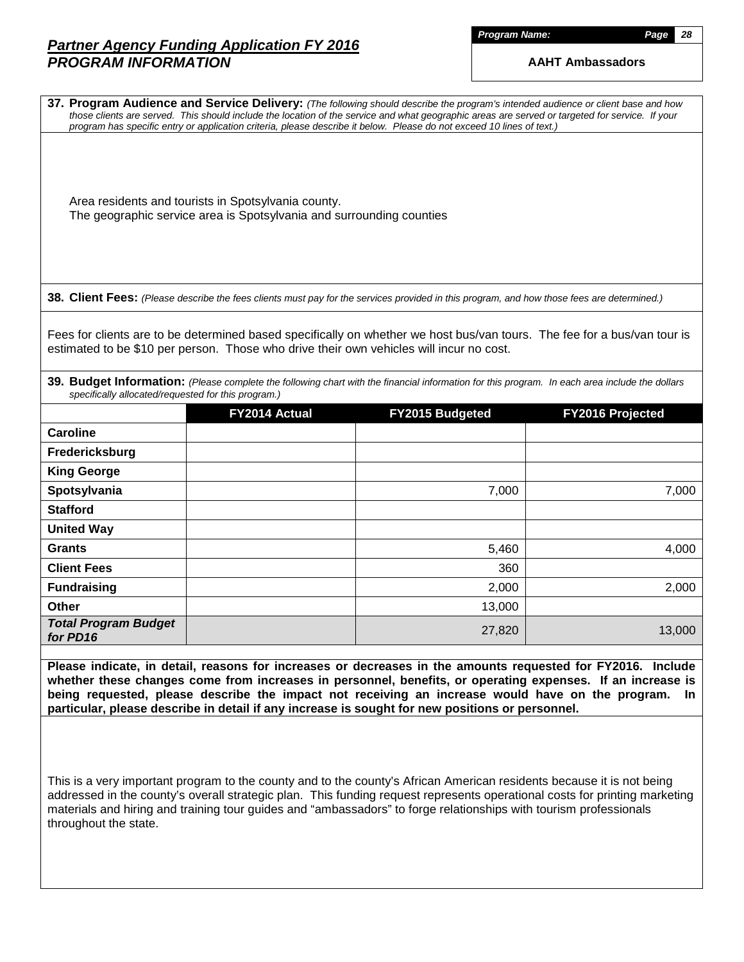| roaram | <b>Name:</b> |  |
|--------|--------------|--|

|                                                     |                                                     | 37. Program Audience and Service Delivery: (The following should describe the program's intended audience or client base and how<br>those clients are served. This should include the location of the service and what geographic areas are served or targeted for service. If your<br>program has specific entry or application criteria, please describe it below. Please do not exceed 10 lines of text.)                                                                |                  |
|-----------------------------------------------------|-----------------------------------------------------|-----------------------------------------------------------------------------------------------------------------------------------------------------------------------------------------------------------------------------------------------------------------------------------------------------------------------------------------------------------------------------------------------------------------------------------------------------------------------------|------------------|
|                                                     | Area residents and tourists in Spotsylvania county. | The geographic service area is Spotsylvania and surrounding counties                                                                                                                                                                                                                                                                                                                                                                                                        |                  |
|                                                     |                                                     | 38. Client Fees: (Please describe the fees clients must pay for the services provided in this program, and how those fees are determined.)                                                                                                                                                                                                                                                                                                                                  |                  |
|                                                     |                                                     | Fees for clients are to be determined based specifically on whether we host bus/van tours. The fee for a bus/van tour is<br>estimated to be \$10 per person. Those who drive their own vehicles will incur no cost.                                                                                                                                                                                                                                                         |                  |
| specifically allocated/requested for this program.) |                                                     | 39. Budget Information: (Please complete the following chart with the financial information for this program. In each area include the dollars                                                                                                                                                                                                                                                                                                                              |                  |
|                                                     | FY2014 Actual                                       | FY2015 Budgeted                                                                                                                                                                                                                                                                                                                                                                                                                                                             | FY2016 Projected |
| <b>Caroline</b>                                     |                                                     |                                                                                                                                                                                                                                                                                                                                                                                                                                                                             |                  |
| Fredericksburg                                      |                                                     |                                                                                                                                                                                                                                                                                                                                                                                                                                                                             |                  |
| <b>King George</b>                                  |                                                     |                                                                                                                                                                                                                                                                                                                                                                                                                                                                             |                  |
| Spotsylvania                                        |                                                     | 7,000                                                                                                                                                                                                                                                                                                                                                                                                                                                                       | 7,000            |
| <b>Stafford</b>                                     |                                                     |                                                                                                                                                                                                                                                                                                                                                                                                                                                                             |                  |
| <b>United Way</b><br><b>Grants</b>                  |                                                     | 5,460                                                                                                                                                                                                                                                                                                                                                                                                                                                                       |                  |
| <b>Client Fees</b>                                  |                                                     | 360                                                                                                                                                                                                                                                                                                                                                                                                                                                                         | 4,000            |
| <b>Fundraising</b>                                  |                                                     | 2,000                                                                                                                                                                                                                                                                                                                                                                                                                                                                       | 2,000            |
| <b>Other</b>                                        |                                                     | 13,000                                                                                                                                                                                                                                                                                                                                                                                                                                                                      |                  |
| <b>Total Program Budget</b><br>for PD16             |                                                     | 27,820                                                                                                                                                                                                                                                                                                                                                                                                                                                                      | 13,000           |
|                                                     |                                                     | Please indicate, in detail, reasons for increases or decreases in the amounts requested for FY2016. Include<br>whether these changes come from increases in personnel, benefits, or operating expenses. If an increase is<br>being requested, please describe the impact not receiving an increase would have on the program.                                                                                                                                               | In.              |
| throughout the state.                               |                                                     | particular, please describe in detail if any increase is sought for new positions or personnel.<br>This is a very important program to the county and to the county's African American residents because it is not being<br>addressed in the county's overall strategic plan. This funding request represents operational costs for printing marketing<br>materials and hiring and training tour guides and "ambassadors" to forge relationships with tourism professionals |                  |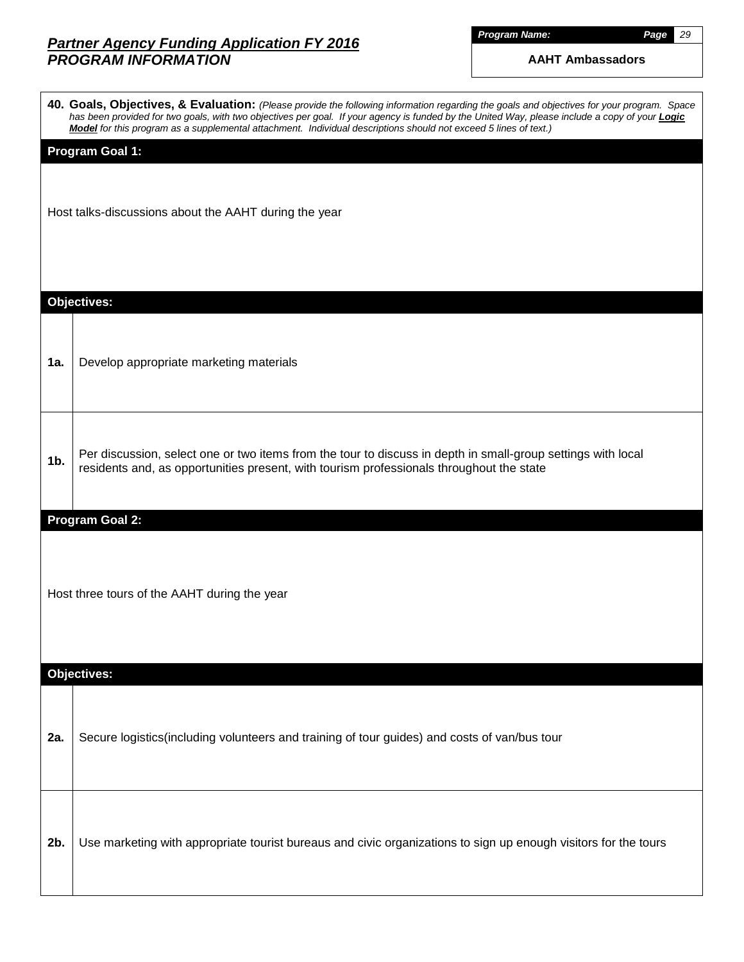*Program Name: Page 29*

|                | 40. Goals, Objectives, & Evaluation: (Please provide the following information regarding the goals and objectives for your program. Space<br>has been provided for two goals, with two objectives per goal. If your agency is funded by the United Way, please include a copy of your <b>Logic</b><br>Model for this program as a supplemental attachment. Individual descriptions should not exceed 5 lines of text.) |
|----------------|------------------------------------------------------------------------------------------------------------------------------------------------------------------------------------------------------------------------------------------------------------------------------------------------------------------------------------------------------------------------------------------------------------------------|
|                | <b>Program Goal 1:</b>                                                                                                                                                                                                                                                                                                                                                                                                 |
|                | Host talks-discussions about the AAHT during the year                                                                                                                                                                                                                                                                                                                                                                  |
|                | <b>Objectives:</b>                                                                                                                                                                                                                                                                                                                                                                                                     |
| 1a.            | Develop appropriate marketing materials                                                                                                                                                                                                                                                                                                                                                                                |
| 1 <sub>b</sub> | Per discussion, select one or two items from the tour to discuss in depth in small-group settings with local<br>residents and, as opportunities present, with tourism professionals throughout the state                                                                                                                                                                                                               |
|                | <b>Program Goal 2:</b>                                                                                                                                                                                                                                                                                                                                                                                                 |
|                | Host three tours of the AAHT during the year                                                                                                                                                                                                                                                                                                                                                                           |
|                | <b>Objectives:</b>                                                                                                                                                                                                                                                                                                                                                                                                     |
| 2a.            | Secure logistics(including volunteers and training of tour guides) and costs of van/bus tour                                                                                                                                                                                                                                                                                                                           |
| 2b.            | Use marketing with appropriate tourist bureaus and civic organizations to sign up enough visitors for the tours                                                                                                                                                                                                                                                                                                        |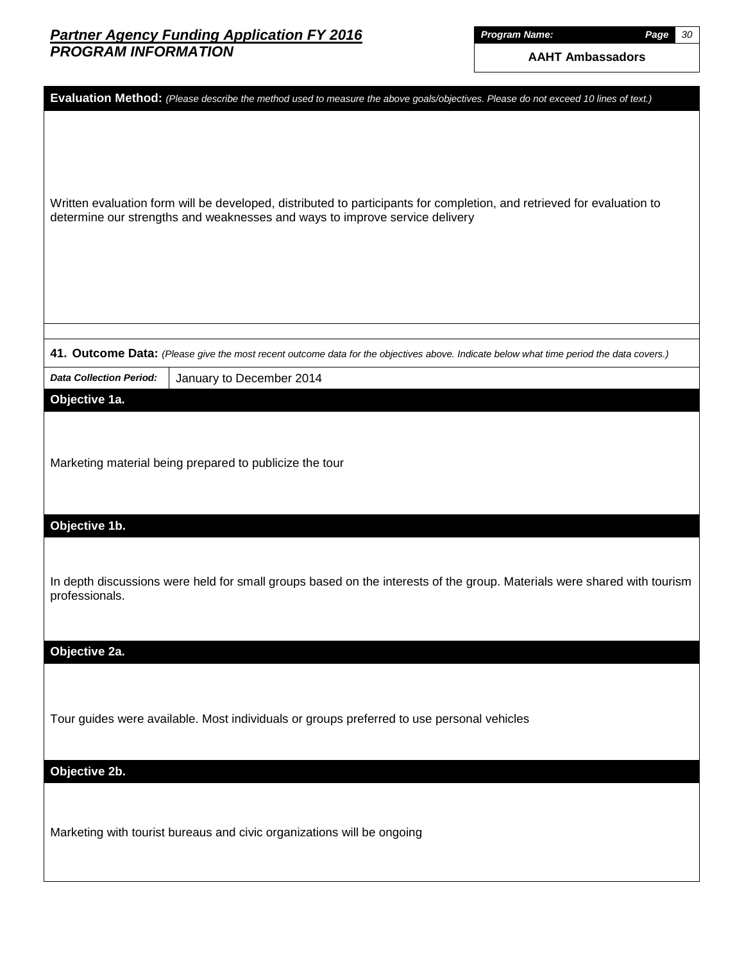*Program Name: Page 30*

| Evaluation Method: (Please describe the method used to measure the above goals/objectives. Please do not exceed 10 lines of text.)                                                                    |
|-------------------------------------------------------------------------------------------------------------------------------------------------------------------------------------------------------|
| Written evaluation form will be developed, distributed to participants for completion, and retrieved for evaluation to<br>determine our strengths and weaknesses and ways to improve service delivery |
|                                                                                                                                                                                                       |
| 41. Outcome Data: (Please give the most recent outcome data for the objectives above. Indicate below what time period the data covers.)                                                               |
| <b>Data Collection Period:</b><br>January to December 2014                                                                                                                                            |
| Objective 1a.<br>Marketing material being prepared to publicize the tour<br>Objective 1b.                                                                                                             |
| In depth discussions were held for small groups based on the interests of the group. Materials were shared with tourism<br>professionals.                                                             |
| Objective 2a.                                                                                                                                                                                         |
| Tour guides were available. Most individuals or groups preferred to use personal vehicles                                                                                                             |
| Objective 2b.                                                                                                                                                                                         |
| Marketing with tourist bureaus and civic organizations will be ongoing                                                                                                                                |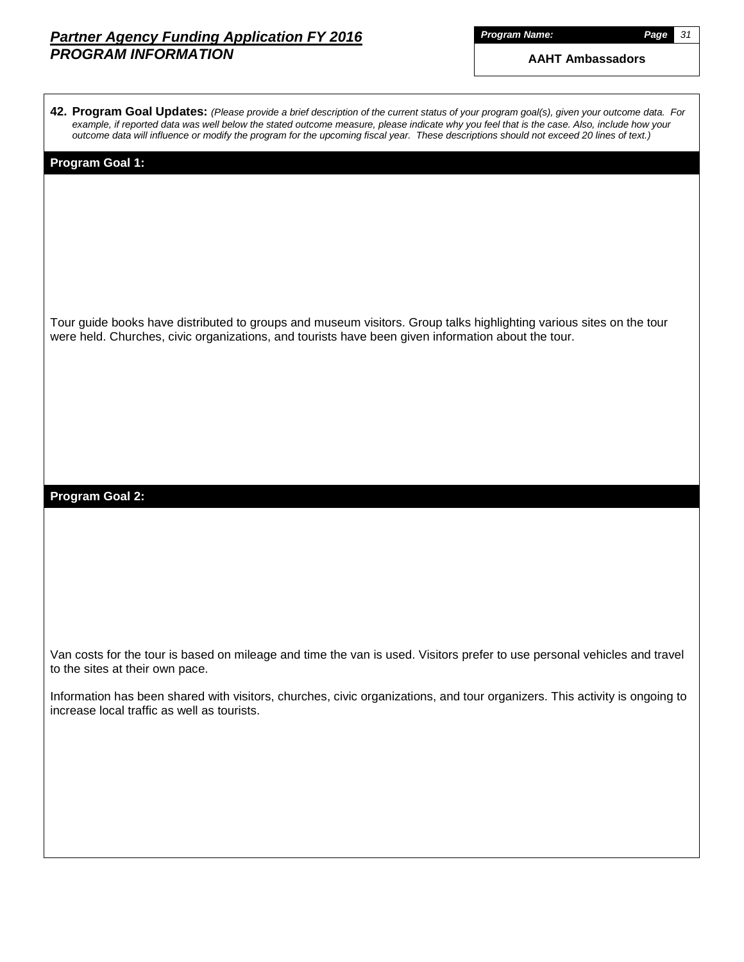|  | Program Name: |  |  |
|--|---------------|--|--|

*Program Name: Page 31*

| 42. Program Goal Updates: (Please provide a brief description of the current status of your program goal(s), given your outcome data. For<br>example, if reported data was well below the stated outcome measure, please indicate why you feel that is the case. Also, include how your<br>outcome data will influence or modify the program for the upcoming fiscal year. These descriptions should not exceed 20 lines of text.) |
|------------------------------------------------------------------------------------------------------------------------------------------------------------------------------------------------------------------------------------------------------------------------------------------------------------------------------------------------------------------------------------------------------------------------------------|
| Program Goal 1:                                                                                                                                                                                                                                                                                                                                                                                                                    |
| Tour guide books have distributed to groups and museum visitors. Group talks highlighting various sites on the tour<br>were held. Churches, civic organizations, and tourists have been given information about the tour.                                                                                                                                                                                                          |
| <b>Program Goal 2:</b>                                                                                                                                                                                                                                                                                                                                                                                                             |
|                                                                                                                                                                                                                                                                                                                                                                                                                                    |
|                                                                                                                                                                                                                                                                                                                                                                                                                                    |
| Van costs for the tour is based on mileage and time the van is used. Visitors prefer to use personal vehicles and travel<br>to the sites at their own pace.                                                                                                                                                                                                                                                                        |
| Information has been shared with visitors, churches, civic organizations, and tour organizers. This activity is ongoing to<br>increase local traffic as well as tourists.                                                                                                                                                                                                                                                          |
|                                                                                                                                                                                                                                                                                                                                                                                                                                    |
|                                                                                                                                                                                                                                                                                                                                                                                                                                    |
|                                                                                                                                                                                                                                                                                                                                                                                                                                    |
|                                                                                                                                                                                                                                                                                                                                                                                                                                    |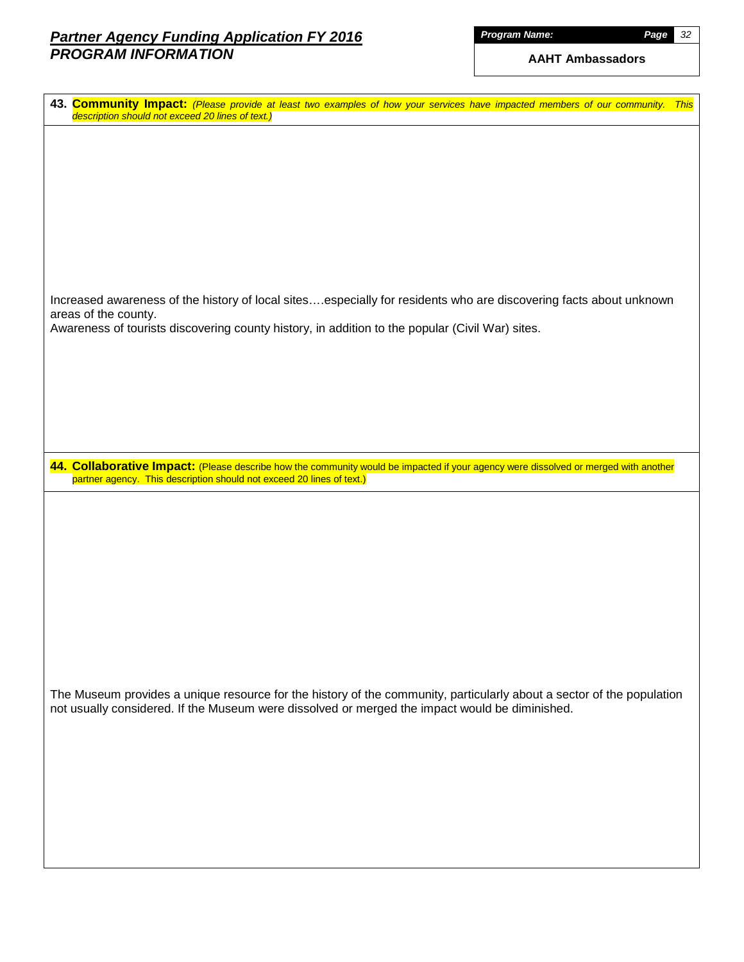| Program Name: |  |  |  |  |
|---------------|--|--|--|--|
|               |  |  |  |  |
|               |  |  |  |  |

| description should not exceed 20 lines of text.)<br>Increased awareness of the history of local sitesespecially for residents who are discovering facts about unknown<br>areas of the county.<br>Awareness of tourists discovering county history, in addition to the popular (Civil War) sites.<br>44. Collaborative Impact: (Please describe how the community would be impacted if your agency were dissolved or merged with another<br>partner agency. This description should not exceed 20 lines of text.)<br>The Museum provides a unique resource for the history of the community, particularly about a sector of the population<br>not usually considered. If the Museum were dissolved or merged the impact would be diminished. |                                                                                                                               |
|---------------------------------------------------------------------------------------------------------------------------------------------------------------------------------------------------------------------------------------------------------------------------------------------------------------------------------------------------------------------------------------------------------------------------------------------------------------------------------------------------------------------------------------------------------------------------------------------------------------------------------------------------------------------------------------------------------------------------------------------|-------------------------------------------------------------------------------------------------------------------------------|
|                                                                                                                                                                                                                                                                                                                                                                                                                                                                                                                                                                                                                                                                                                                                             | 43. Community Impact: (Please provide at least two examples of how your services have impacted members of our community. This |
|                                                                                                                                                                                                                                                                                                                                                                                                                                                                                                                                                                                                                                                                                                                                             |                                                                                                                               |
|                                                                                                                                                                                                                                                                                                                                                                                                                                                                                                                                                                                                                                                                                                                                             |                                                                                                                               |
|                                                                                                                                                                                                                                                                                                                                                                                                                                                                                                                                                                                                                                                                                                                                             |                                                                                                                               |
|                                                                                                                                                                                                                                                                                                                                                                                                                                                                                                                                                                                                                                                                                                                                             |                                                                                                                               |
|                                                                                                                                                                                                                                                                                                                                                                                                                                                                                                                                                                                                                                                                                                                                             |                                                                                                                               |
|                                                                                                                                                                                                                                                                                                                                                                                                                                                                                                                                                                                                                                                                                                                                             |                                                                                                                               |
|                                                                                                                                                                                                                                                                                                                                                                                                                                                                                                                                                                                                                                                                                                                                             |                                                                                                                               |
|                                                                                                                                                                                                                                                                                                                                                                                                                                                                                                                                                                                                                                                                                                                                             |                                                                                                                               |
|                                                                                                                                                                                                                                                                                                                                                                                                                                                                                                                                                                                                                                                                                                                                             |                                                                                                                               |
|                                                                                                                                                                                                                                                                                                                                                                                                                                                                                                                                                                                                                                                                                                                                             |                                                                                                                               |
|                                                                                                                                                                                                                                                                                                                                                                                                                                                                                                                                                                                                                                                                                                                                             |                                                                                                                               |
|                                                                                                                                                                                                                                                                                                                                                                                                                                                                                                                                                                                                                                                                                                                                             |                                                                                                                               |
|                                                                                                                                                                                                                                                                                                                                                                                                                                                                                                                                                                                                                                                                                                                                             |                                                                                                                               |
|                                                                                                                                                                                                                                                                                                                                                                                                                                                                                                                                                                                                                                                                                                                                             |                                                                                                                               |
|                                                                                                                                                                                                                                                                                                                                                                                                                                                                                                                                                                                                                                                                                                                                             |                                                                                                                               |
|                                                                                                                                                                                                                                                                                                                                                                                                                                                                                                                                                                                                                                                                                                                                             |                                                                                                                               |
|                                                                                                                                                                                                                                                                                                                                                                                                                                                                                                                                                                                                                                                                                                                                             |                                                                                                                               |
|                                                                                                                                                                                                                                                                                                                                                                                                                                                                                                                                                                                                                                                                                                                                             |                                                                                                                               |
|                                                                                                                                                                                                                                                                                                                                                                                                                                                                                                                                                                                                                                                                                                                                             |                                                                                                                               |
|                                                                                                                                                                                                                                                                                                                                                                                                                                                                                                                                                                                                                                                                                                                                             |                                                                                                                               |
|                                                                                                                                                                                                                                                                                                                                                                                                                                                                                                                                                                                                                                                                                                                                             |                                                                                                                               |
|                                                                                                                                                                                                                                                                                                                                                                                                                                                                                                                                                                                                                                                                                                                                             |                                                                                                                               |
|                                                                                                                                                                                                                                                                                                                                                                                                                                                                                                                                                                                                                                                                                                                                             |                                                                                                                               |
|                                                                                                                                                                                                                                                                                                                                                                                                                                                                                                                                                                                                                                                                                                                                             |                                                                                                                               |
|                                                                                                                                                                                                                                                                                                                                                                                                                                                                                                                                                                                                                                                                                                                                             |                                                                                                                               |
|                                                                                                                                                                                                                                                                                                                                                                                                                                                                                                                                                                                                                                                                                                                                             |                                                                                                                               |
|                                                                                                                                                                                                                                                                                                                                                                                                                                                                                                                                                                                                                                                                                                                                             |                                                                                                                               |
|                                                                                                                                                                                                                                                                                                                                                                                                                                                                                                                                                                                                                                                                                                                                             |                                                                                                                               |
|                                                                                                                                                                                                                                                                                                                                                                                                                                                                                                                                                                                                                                                                                                                                             |                                                                                                                               |
|                                                                                                                                                                                                                                                                                                                                                                                                                                                                                                                                                                                                                                                                                                                                             |                                                                                                                               |
|                                                                                                                                                                                                                                                                                                                                                                                                                                                                                                                                                                                                                                                                                                                                             |                                                                                                                               |
|                                                                                                                                                                                                                                                                                                                                                                                                                                                                                                                                                                                                                                                                                                                                             |                                                                                                                               |
|                                                                                                                                                                                                                                                                                                                                                                                                                                                                                                                                                                                                                                                                                                                                             |                                                                                                                               |
|                                                                                                                                                                                                                                                                                                                                                                                                                                                                                                                                                                                                                                                                                                                                             |                                                                                                                               |
|                                                                                                                                                                                                                                                                                                                                                                                                                                                                                                                                                                                                                                                                                                                                             |                                                                                                                               |
|                                                                                                                                                                                                                                                                                                                                                                                                                                                                                                                                                                                                                                                                                                                                             |                                                                                                                               |
|                                                                                                                                                                                                                                                                                                                                                                                                                                                                                                                                                                                                                                                                                                                                             |                                                                                                                               |
|                                                                                                                                                                                                                                                                                                                                                                                                                                                                                                                                                                                                                                                                                                                                             |                                                                                                                               |
|                                                                                                                                                                                                                                                                                                                                                                                                                                                                                                                                                                                                                                                                                                                                             |                                                                                                                               |
|                                                                                                                                                                                                                                                                                                                                                                                                                                                                                                                                                                                                                                                                                                                                             |                                                                                                                               |
|                                                                                                                                                                                                                                                                                                                                                                                                                                                                                                                                                                                                                                                                                                                                             |                                                                                                                               |
|                                                                                                                                                                                                                                                                                                                                                                                                                                                                                                                                                                                                                                                                                                                                             |                                                                                                                               |
|                                                                                                                                                                                                                                                                                                                                                                                                                                                                                                                                                                                                                                                                                                                                             |                                                                                                                               |
|                                                                                                                                                                                                                                                                                                                                                                                                                                                                                                                                                                                                                                                                                                                                             |                                                                                                                               |
|                                                                                                                                                                                                                                                                                                                                                                                                                                                                                                                                                                                                                                                                                                                                             |                                                                                                                               |
|                                                                                                                                                                                                                                                                                                                                                                                                                                                                                                                                                                                                                                                                                                                                             |                                                                                                                               |
|                                                                                                                                                                                                                                                                                                                                                                                                                                                                                                                                                                                                                                                                                                                                             |                                                                                                                               |
|                                                                                                                                                                                                                                                                                                                                                                                                                                                                                                                                                                                                                                                                                                                                             |                                                                                                                               |
|                                                                                                                                                                                                                                                                                                                                                                                                                                                                                                                                                                                                                                                                                                                                             |                                                                                                                               |
|                                                                                                                                                                                                                                                                                                                                                                                                                                                                                                                                                                                                                                                                                                                                             |                                                                                                                               |
|                                                                                                                                                                                                                                                                                                                                                                                                                                                                                                                                                                                                                                                                                                                                             |                                                                                                                               |
|                                                                                                                                                                                                                                                                                                                                                                                                                                                                                                                                                                                                                                                                                                                                             |                                                                                                                               |
|                                                                                                                                                                                                                                                                                                                                                                                                                                                                                                                                                                                                                                                                                                                                             |                                                                                                                               |
|                                                                                                                                                                                                                                                                                                                                                                                                                                                                                                                                                                                                                                                                                                                                             |                                                                                                                               |
|                                                                                                                                                                                                                                                                                                                                                                                                                                                                                                                                                                                                                                                                                                                                             |                                                                                                                               |
|                                                                                                                                                                                                                                                                                                                                                                                                                                                                                                                                                                                                                                                                                                                                             |                                                                                                                               |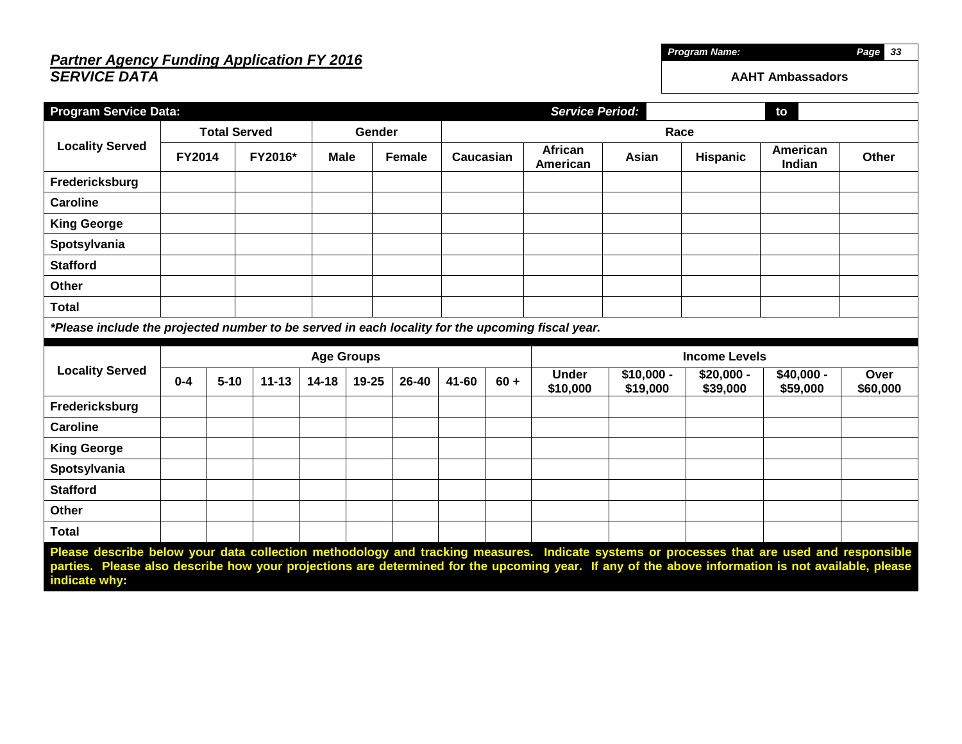## *Partner Agency Funding Application FY 2016 SERVICE DATA*

| <b>Program Service Data:</b>                                                                     |                     |          |           |             |        |               |           |        | <b>Service Period:</b>   |                         |                         | to                      |                  |  |
|--------------------------------------------------------------------------------------------------|---------------------|----------|-----------|-------------|--------|---------------|-----------|--------|--------------------------|-------------------------|-------------------------|-------------------------|------------------|--|
|                                                                                                  | <b>Total Served</b> |          |           |             | Gender |               |           | Race   |                          |                         |                         |                         |                  |  |
| <b>Locality Served</b>                                                                           | <b>FY2014</b>       |          | FY2016*   | <b>Male</b> |        | <b>Female</b> | Caucasian |        | African<br>American      | Asian                   | <b>Hispanic</b>         | American<br>Indian      | Other            |  |
| Fredericksburg                                                                                   |                     |          |           |             |        |               |           |        |                          |                         |                         |                         |                  |  |
| <b>Caroline</b>                                                                                  |                     |          |           |             |        |               |           |        |                          |                         |                         |                         |                  |  |
| <b>King George</b>                                                                               |                     |          |           |             |        |               |           |        |                          |                         |                         |                         |                  |  |
| Spotsylvania                                                                                     |                     |          |           |             |        |               |           |        |                          |                         |                         |                         |                  |  |
| <b>Stafford</b>                                                                                  |                     |          |           |             |        |               |           |        |                          |                         |                         |                         |                  |  |
| Other                                                                                            |                     |          |           |             |        |               |           |        |                          |                         |                         |                         |                  |  |
| <b>Total</b>                                                                                     |                     |          |           |             |        |               |           |        |                          |                         |                         |                         |                  |  |
| *Please include the projected number to be served in each locality for the upcoming fiscal year. |                     |          |           |             |        |               |           |        |                          |                         |                         |                         |                  |  |
|                                                                                                  | <b>Age Groups</b>   |          |           |             |        |               |           |        |                          |                         |                         |                         |                  |  |
|                                                                                                  |                     |          |           |             |        |               |           |        |                          |                         | <b>Income Levels</b>    |                         |                  |  |
| <b>Locality Served</b>                                                                           | $0 - 4$             | $5 - 10$ | $11 - 13$ | $14 - 18$   | 19-25  | 26-40         | 41-60     | $60 +$ | <b>Under</b><br>\$10,000 | $$10,000 -$<br>\$19,000 | $$20,000 -$<br>\$39,000 | $$40,000 -$<br>\$59,000 | Over<br>\$60,000 |  |
| Fredericksburg                                                                                   |                     |          |           |             |        |               |           |        |                          |                         |                         |                         |                  |  |
| <b>Caroline</b>                                                                                  |                     |          |           |             |        |               |           |        |                          |                         |                         |                         |                  |  |
| <b>King George</b>                                                                               |                     |          |           |             |        |               |           |        |                          |                         |                         |                         |                  |  |
| Spotsylvania                                                                                     |                     |          |           |             |        |               |           |        |                          |                         |                         |                         |                  |  |
| <b>Stafford</b>                                                                                  |                     |          |           |             |        |               |           |        |                          |                         |                         |                         |                  |  |
| Other                                                                                            |                     |          |           |             |        |               |           |        |                          |                         |                         |                         |                  |  |
| <b>Total</b>                                                                                     |                     |          |           |             |        |               |           |        |                          |                         |                         |                         |                  |  |

*Program Name: Page 33*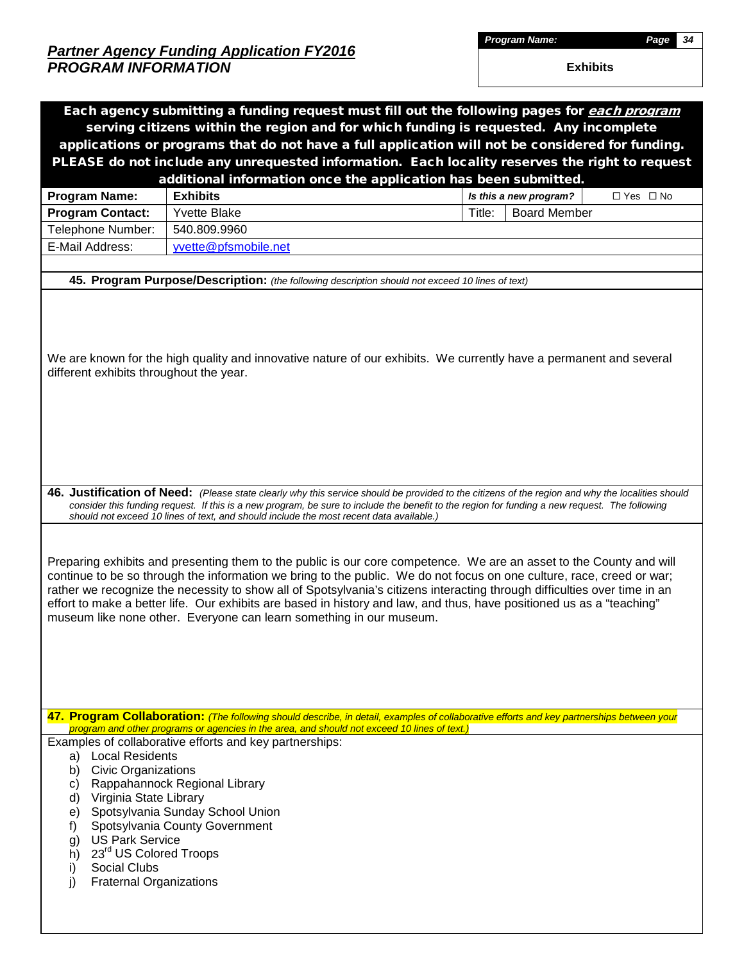*Program Name: Page 34*

|                                          | Each agency submitting a funding request must fill out the following pages for each program                                                                                                                                                                                                                                                                                                                                                                                                                                                                               |        |                        |            |
|------------------------------------------|---------------------------------------------------------------------------------------------------------------------------------------------------------------------------------------------------------------------------------------------------------------------------------------------------------------------------------------------------------------------------------------------------------------------------------------------------------------------------------------------------------------------------------------------------------------------------|--------|------------------------|------------|
|                                          | serving citizens within the region and for which funding is requested. Any incomplete                                                                                                                                                                                                                                                                                                                                                                                                                                                                                     |        |                        |            |
|                                          | applications or programs that do not have a full application will not be considered for funding.                                                                                                                                                                                                                                                                                                                                                                                                                                                                          |        |                        |            |
|                                          | PLEASE do not include any unrequested information. Each locality reserves the right to request                                                                                                                                                                                                                                                                                                                                                                                                                                                                            |        |                        |            |
|                                          | additional information once the application has been submitted.                                                                                                                                                                                                                                                                                                                                                                                                                                                                                                           |        |                        |            |
| Program Name:                            | <b>Exhibits</b>                                                                                                                                                                                                                                                                                                                                                                                                                                                                                                                                                           |        | Is this a new program? | □ Yes □ No |
| <b>Program Contact:</b>                  | <b>Yvette Blake</b>                                                                                                                                                                                                                                                                                                                                                                                                                                                                                                                                                       | Title: | <b>Board Member</b>    |            |
| Telephone Number:                        | 540.809.9960                                                                                                                                                                                                                                                                                                                                                                                                                                                                                                                                                              |        |                        |            |
| E-Mail Address:                          | yvette@pfsmobile.net                                                                                                                                                                                                                                                                                                                                                                                                                                                                                                                                                      |        |                        |            |
|                                          |                                                                                                                                                                                                                                                                                                                                                                                                                                                                                                                                                                           |        |                        |            |
|                                          | 45. Program Purpose/Description: (the following description should not exceed 10 lines of text)                                                                                                                                                                                                                                                                                                                                                                                                                                                                           |        |                        |            |
|                                          |                                                                                                                                                                                                                                                                                                                                                                                                                                                                                                                                                                           |        |                        |            |
| different exhibits throughout the year.  | We are known for the high quality and innovative nature of our exhibits. We currently have a permanent and several                                                                                                                                                                                                                                                                                                                                                                                                                                                        |        |                        |            |
|                                          |                                                                                                                                                                                                                                                                                                                                                                                                                                                                                                                                                                           |        |                        |            |
|                                          |                                                                                                                                                                                                                                                                                                                                                                                                                                                                                                                                                                           |        |                        |            |
|                                          |                                                                                                                                                                                                                                                                                                                                                                                                                                                                                                                                                                           |        |                        |            |
|                                          |                                                                                                                                                                                                                                                                                                                                                                                                                                                                                                                                                                           |        |                        |            |
|                                          |                                                                                                                                                                                                                                                                                                                                                                                                                                                                                                                                                                           |        |                        |            |
|                                          |                                                                                                                                                                                                                                                                                                                                                                                                                                                                                                                                                                           |        |                        |            |
|                                          | 46. Justification of Need: (Please state clearly why this service should be provided to the citizens of the region and why the localities should<br>consider this funding request. If this is a new program, be sure to include the benefit to the region for funding a new request. The following<br>should not exceed 10 lines of text, and should include the most recent data available.)                                                                                                                                                                             |        |                        |            |
|                                          |                                                                                                                                                                                                                                                                                                                                                                                                                                                                                                                                                                           |        |                        |            |
|                                          | Preparing exhibits and presenting them to the public is our core competence. We are an asset to the County and will<br>continue to be so through the information we bring to the public. We do not focus on one culture, race, creed or war;<br>rather we recognize the necessity to show all of Spotsylvania's citizens interacting through difficulties over time in an<br>effort to make a better life. Our exhibits are based in history and law, and thus, have positioned us as a "teaching"<br>museum like none other. Everyone can learn something in our museum. |        |                        |            |
|                                          |                                                                                                                                                                                                                                                                                                                                                                                                                                                                                                                                                                           |        |                        |            |
|                                          |                                                                                                                                                                                                                                                                                                                                                                                                                                                                                                                                                                           |        |                        |            |
|                                          |                                                                                                                                                                                                                                                                                                                                                                                                                                                                                                                                                                           |        |                        |            |
|                                          | 47. Program Collaboration: (The following should describe, in detail, examples of collaborative efforts and key partnerships between your<br>program and other programs or agencies in the area, and should not exceed 10 lines of text.)                                                                                                                                                                                                                                                                                                                                 |        |                        |            |
|                                          | Examples of collaborative efforts and key partnerships:                                                                                                                                                                                                                                                                                                                                                                                                                                                                                                                   |        |                        |            |
| <b>Local Residents</b><br>a)             |                                                                                                                                                                                                                                                                                                                                                                                                                                                                                                                                                                           |        |                        |            |
| <b>Civic Organizations</b><br>b)         | Rappahannock Regional Library                                                                                                                                                                                                                                                                                                                                                                                                                                                                                                                                             |        |                        |            |
| C)<br>Virginia State Library<br>d)       |                                                                                                                                                                                                                                                                                                                                                                                                                                                                                                                                                                           |        |                        |            |
| e)                                       | Spotsylvania Sunday School Union                                                                                                                                                                                                                                                                                                                                                                                                                                                                                                                                          |        |                        |            |
| f)                                       | Spotsylvania County Government                                                                                                                                                                                                                                                                                                                                                                                                                                                                                                                                            |        |                        |            |
| <b>US Park Service</b><br>g)             |                                                                                                                                                                                                                                                                                                                                                                                                                                                                                                                                                                           |        |                        |            |
| 23 <sup>rd</sup> US Colored Troops<br>h) |                                                                                                                                                                                                                                                                                                                                                                                                                                                                                                                                                                           |        |                        |            |
| <b>Social Clubs</b><br>i)                |                                                                                                                                                                                                                                                                                                                                                                                                                                                                                                                                                                           |        |                        |            |
| <b>Fraternal Organizations</b>           |                                                                                                                                                                                                                                                                                                                                                                                                                                                                                                                                                                           |        |                        |            |
|                                          |                                                                                                                                                                                                                                                                                                                                                                                                                                                                                                                                                                           |        |                        |            |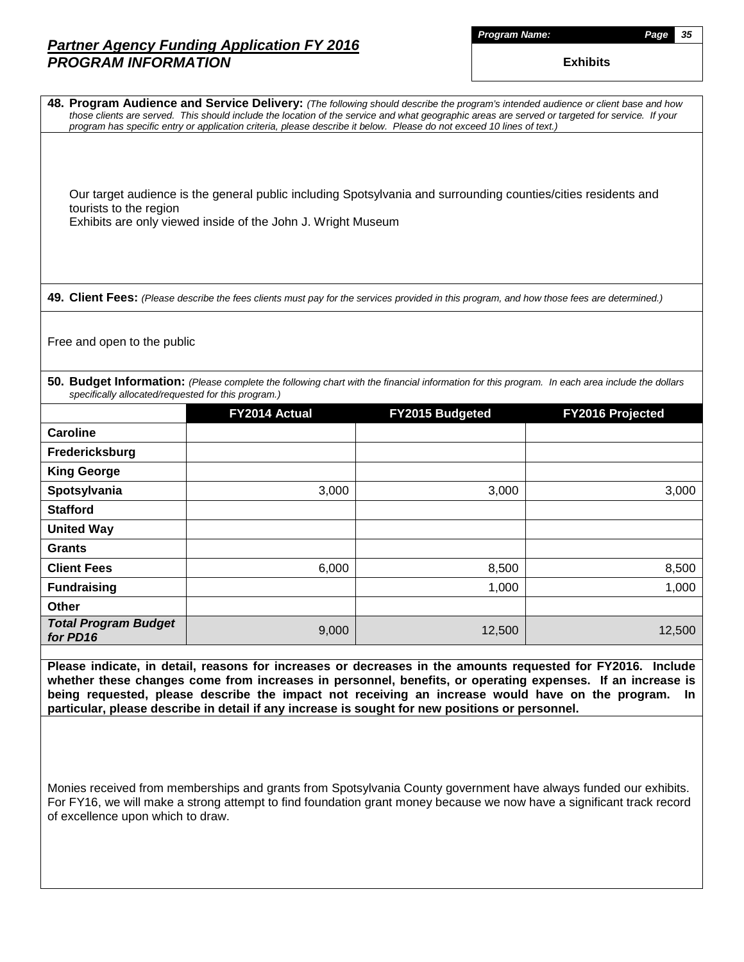|        | <b>Name:</b> |
|--------|--------------|
| roaram |              |

|                                                                                                                                                                                                          | 48. Program Audience and Service Delivery: (The following should describe the program's intended audience or client base and how<br>those clients are served. This should include the location of the service and what geographic areas are served or targeted for service. If your<br>program has specific entry or application criteria, please describe it below. Please do not exceed 10 lines of text.)                                                                                                                                                                                                                                                                                                              |                 |                  |  |  |  |  |  |  |
|----------------------------------------------------------------------------------------------------------------------------------------------------------------------------------------------------------|---------------------------------------------------------------------------------------------------------------------------------------------------------------------------------------------------------------------------------------------------------------------------------------------------------------------------------------------------------------------------------------------------------------------------------------------------------------------------------------------------------------------------------------------------------------------------------------------------------------------------------------------------------------------------------------------------------------------------|-----------------|------------------|--|--|--|--|--|--|
| Our target audience is the general public including Spotsylvania and surrounding counties/cities residents and<br>tourists to the region<br>Exhibits are only viewed inside of the John J. Wright Museum |                                                                                                                                                                                                                                                                                                                                                                                                                                                                                                                                                                                                                                                                                                                           |                 |                  |  |  |  |  |  |  |
|                                                                                                                                                                                                          | 49. Client Fees: (Please describe the fees clients must pay for the services provided in this program, and how those fees are determined.)                                                                                                                                                                                                                                                                                                                                                                                                                                                                                                                                                                                |                 |                  |  |  |  |  |  |  |
| Free and open to the public                                                                                                                                                                              |                                                                                                                                                                                                                                                                                                                                                                                                                                                                                                                                                                                                                                                                                                                           |                 |                  |  |  |  |  |  |  |
| specifically allocated/requested for this program.)                                                                                                                                                      | 50. Budget Information: (Please complete the following chart with the financial information for this program. In each area include the dollars                                                                                                                                                                                                                                                                                                                                                                                                                                                                                                                                                                            |                 |                  |  |  |  |  |  |  |
|                                                                                                                                                                                                          | FY2014 Actual                                                                                                                                                                                                                                                                                                                                                                                                                                                                                                                                                                                                                                                                                                             | FY2015 Budgeted | FY2016 Projected |  |  |  |  |  |  |
| <b>Caroline</b>                                                                                                                                                                                          |                                                                                                                                                                                                                                                                                                                                                                                                                                                                                                                                                                                                                                                                                                                           |                 |                  |  |  |  |  |  |  |
| Fredericksburg                                                                                                                                                                                           |                                                                                                                                                                                                                                                                                                                                                                                                                                                                                                                                                                                                                                                                                                                           |                 |                  |  |  |  |  |  |  |
| <b>King George</b>                                                                                                                                                                                       |                                                                                                                                                                                                                                                                                                                                                                                                                                                                                                                                                                                                                                                                                                                           |                 |                  |  |  |  |  |  |  |
| Spotsylvania                                                                                                                                                                                             | 3,000                                                                                                                                                                                                                                                                                                                                                                                                                                                                                                                                                                                                                                                                                                                     | 3,000           | 3,000            |  |  |  |  |  |  |
| <b>Stafford</b>                                                                                                                                                                                          |                                                                                                                                                                                                                                                                                                                                                                                                                                                                                                                                                                                                                                                                                                                           |                 |                  |  |  |  |  |  |  |
| <b>United Way</b>                                                                                                                                                                                        |                                                                                                                                                                                                                                                                                                                                                                                                                                                                                                                                                                                                                                                                                                                           |                 |                  |  |  |  |  |  |  |
| <b>Grants</b>                                                                                                                                                                                            |                                                                                                                                                                                                                                                                                                                                                                                                                                                                                                                                                                                                                                                                                                                           |                 |                  |  |  |  |  |  |  |
| <b>Client Fees</b>                                                                                                                                                                                       | 6,000                                                                                                                                                                                                                                                                                                                                                                                                                                                                                                                                                                                                                                                                                                                     | 8,500           | 8,500            |  |  |  |  |  |  |
| <b>Fundraising</b>                                                                                                                                                                                       |                                                                                                                                                                                                                                                                                                                                                                                                                                                                                                                                                                                                                                                                                                                           | 1,000           | 1,000            |  |  |  |  |  |  |
| <b>Other</b>                                                                                                                                                                                             |                                                                                                                                                                                                                                                                                                                                                                                                                                                                                                                                                                                                                                                                                                                           |                 |                  |  |  |  |  |  |  |
| <b>Total Program Budget</b><br>for PD16                                                                                                                                                                  | 9,000                                                                                                                                                                                                                                                                                                                                                                                                                                                                                                                                                                                                                                                                                                                     | 12,500          | 12,500           |  |  |  |  |  |  |
|                                                                                                                                                                                                          | Please indicate, in detail, reasons for increases or decreases in the amounts requested for FY2016. Include<br>whether these changes come from increases in personnel, benefits, or operating expenses. If an increase is<br>being requested, please describe the impact not receiving an increase would have on the program.<br>In.<br>particular, please describe in detail if any increase is sought for new positions or personnel.<br>Monies received from memberships and grants from Spotsylvania County government have always funded our exhibits.<br>For FY16, we will make a strong attempt to find foundation grant money because we now have a significant track record<br>of excellence upon which to draw. |                 |                  |  |  |  |  |  |  |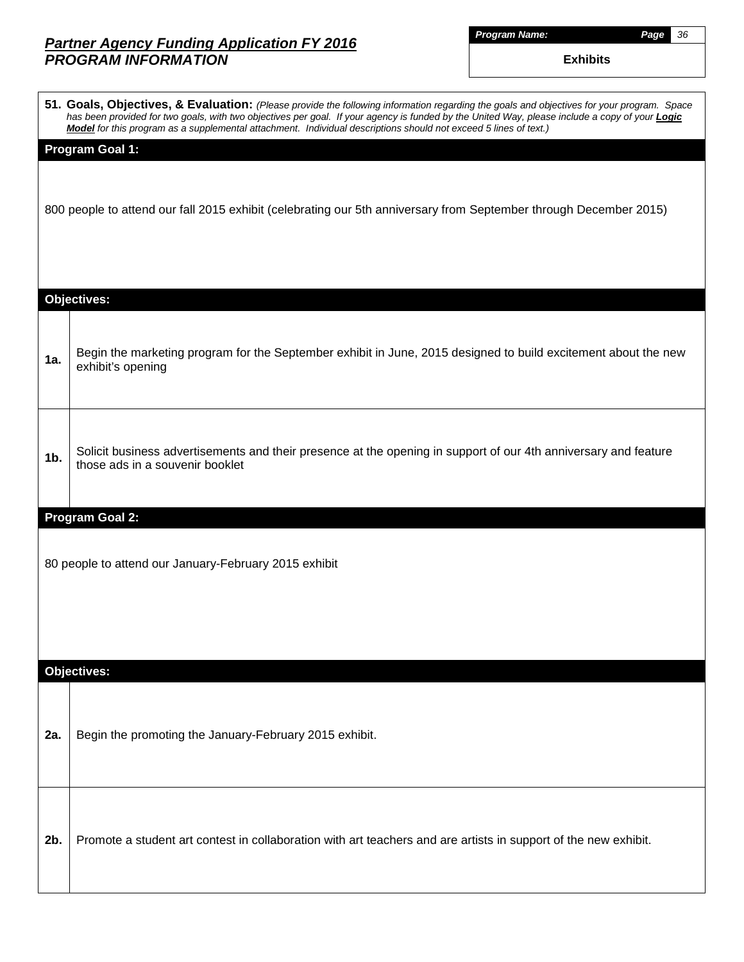| Proaram |  | Name: |  |
|---------|--|-------|--|
|         |  |       |  |

*Program Name: Page 36*

|     | 51. Goals, Objectives, & Evaluation: (Please provide the following information regarding the goals and objectives for your program. Space<br>has been provided for two goals, with two objectives per goal. If your agency is funded by the United Way, please include a copy of your <b>Logic</b><br>Model for this program as a supplemental attachment. Individual descriptions should not exceed 5 lines of text.) |
|-----|------------------------------------------------------------------------------------------------------------------------------------------------------------------------------------------------------------------------------------------------------------------------------------------------------------------------------------------------------------------------------------------------------------------------|
|     | <b>Program Goal 1:</b>                                                                                                                                                                                                                                                                                                                                                                                                 |
|     | 800 people to attend our fall 2015 exhibit (celebrating our 5th anniversary from September through December 2015)                                                                                                                                                                                                                                                                                                      |
|     | <b>Objectives:</b>                                                                                                                                                                                                                                                                                                                                                                                                     |
| 1a. | Begin the marketing program for the September exhibit in June, 2015 designed to build excitement about the new<br>exhibit's opening                                                                                                                                                                                                                                                                                    |
| 1b. | Solicit business advertisements and their presence at the opening in support of our 4th anniversary and feature<br>those ads in a souvenir booklet                                                                                                                                                                                                                                                                     |
|     | <b>Program Goal 2:</b>                                                                                                                                                                                                                                                                                                                                                                                                 |
|     | 80 people to attend our January-February 2015 exhibit                                                                                                                                                                                                                                                                                                                                                                  |
|     | <b>Objectives:</b>                                                                                                                                                                                                                                                                                                                                                                                                     |
| 2a. | Begin the promoting the January-February 2015 exhibit.                                                                                                                                                                                                                                                                                                                                                                 |
| 2b. | Promote a student art contest in collaboration with art teachers and are artists in support of the new exhibit.                                                                                                                                                                                                                                                                                                        |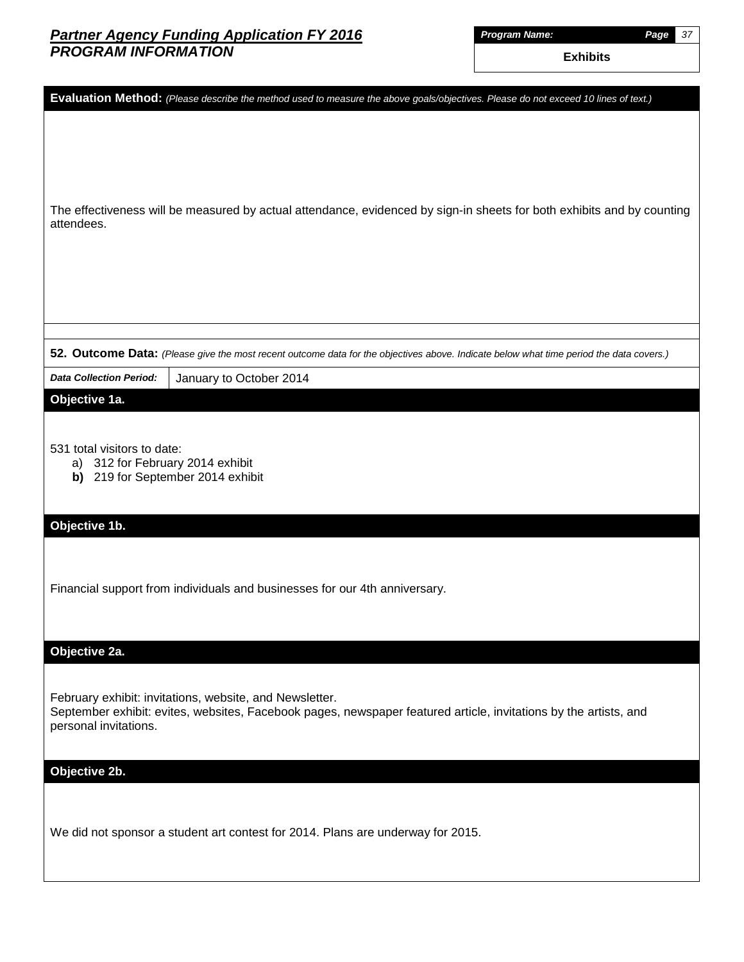*Program Name: Page 37*

|                                                                                                         | Evaluation Method: (Please describe the method used to measure the above goals/objectives. Please do not exceed 10 lines of text.)                                          |
|---------------------------------------------------------------------------------------------------------|-----------------------------------------------------------------------------------------------------------------------------------------------------------------------------|
|                                                                                                         |                                                                                                                                                                             |
| attendees.                                                                                              | The effectiveness will be measured by actual attendance, evidenced by sign-in sheets for both exhibits and by counting                                                      |
|                                                                                                         |                                                                                                                                                                             |
|                                                                                                         | 52. Outcome Data: (Please give the most recent outcome data for the objectives above. Indicate below what time period the data covers.)                                     |
| <b>Data Collection Period:</b>                                                                          | January to October 2014                                                                                                                                                     |
| Objective 1a.                                                                                           |                                                                                                                                                                             |
| 531 total visitors to date:<br>312 for February 2014 exhibit<br>a)<br>b) 219 for September 2014 exhibit |                                                                                                                                                                             |
| Objective 1b.                                                                                           |                                                                                                                                                                             |
|                                                                                                         | Financial support from individuals and businesses for our 4th anniversary.                                                                                                  |
| Objective 2a.                                                                                           |                                                                                                                                                                             |
| personal invitations.                                                                                   | February exhibit: invitations, website, and Newsletter.<br>September exhibit: evites, websites, Facebook pages, newspaper featured article, invitations by the artists, and |
| Objective 2b.                                                                                           |                                                                                                                                                                             |
|                                                                                                         | We did not sponsor a student art contest for 2014. Plans are underway for 2015.                                                                                             |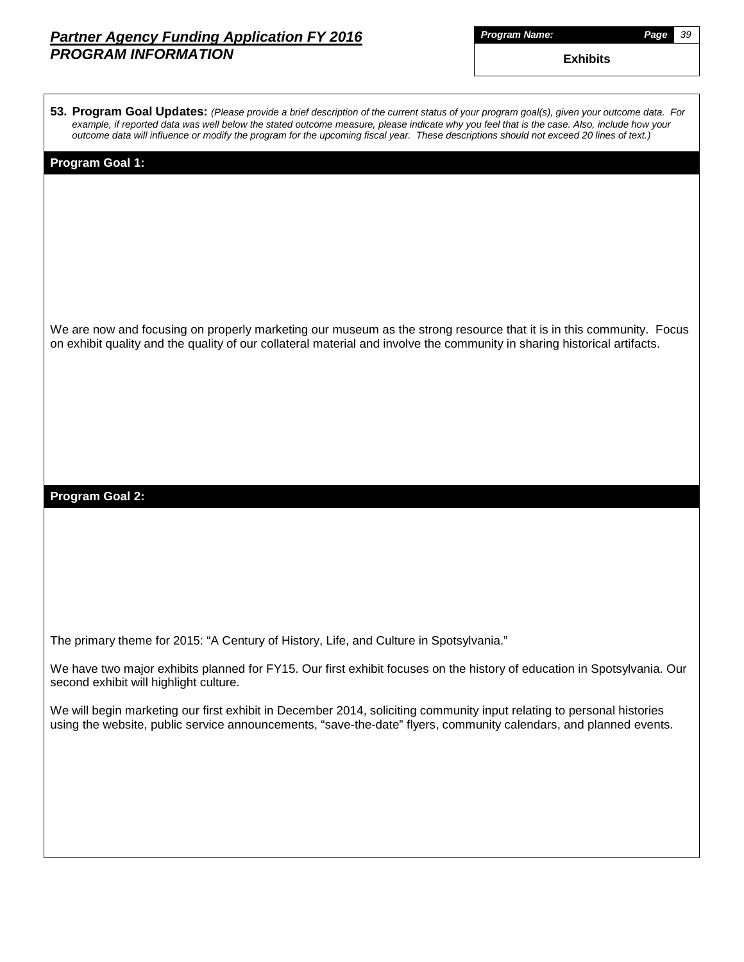| Proaram |  |  | Name: |
|---------|--|--|-------|
|         |  |  |       |

*Program Name: Page 39*

| 53. Program Goal Updates: (Please provide a brief description of the current status of your program goal(s), given your outcome data. For<br>example, if reported data was well below the stated outcome measure, please indicate why you feel that is the case. Also, include how your<br>outcome data will influence or modify the program for the upcoming fiscal year. These descriptions should not exceed 20 lines of text.) |
|------------------------------------------------------------------------------------------------------------------------------------------------------------------------------------------------------------------------------------------------------------------------------------------------------------------------------------------------------------------------------------------------------------------------------------|
| Program Goal 1:                                                                                                                                                                                                                                                                                                                                                                                                                    |
|                                                                                                                                                                                                                                                                                                                                                                                                                                    |
|                                                                                                                                                                                                                                                                                                                                                                                                                                    |
| We are now and focusing on properly marketing our museum as the strong resource that it is in this community. Focus<br>on exhibit quality and the quality of our collateral material and involve the community in sharing historical artifacts.                                                                                                                                                                                    |
|                                                                                                                                                                                                                                                                                                                                                                                                                                    |
|                                                                                                                                                                                                                                                                                                                                                                                                                                    |
| <b>Program Goal 2:</b>                                                                                                                                                                                                                                                                                                                                                                                                             |
|                                                                                                                                                                                                                                                                                                                                                                                                                                    |
|                                                                                                                                                                                                                                                                                                                                                                                                                                    |
| The primary theme for 2015: "A Century of History, Life, and Culture in Spotsylvania."                                                                                                                                                                                                                                                                                                                                             |
| We have two major exhibits planned for FY15. Our first exhibit focuses on the history of education in Spotsylvania. Our<br>second exhibit will highlight culture.                                                                                                                                                                                                                                                                  |
| We will begin marketing our first exhibit in December 2014, soliciting community input relating to personal histories<br>using the website, public service announcements, "save-the-date" flyers, community calendars, and planned events.                                                                                                                                                                                         |
|                                                                                                                                                                                                                                                                                                                                                                                                                                    |
|                                                                                                                                                                                                                                                                                                                                                                                                                                    |
|                                                                                                                                                                                                                                                                                                                                                                                                                                    |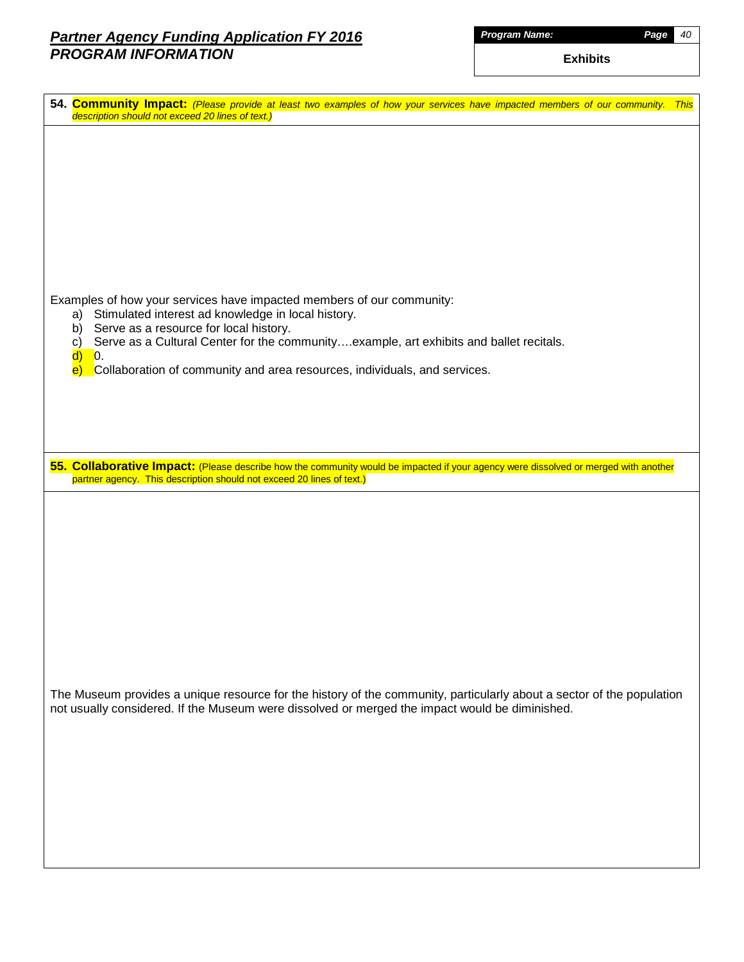*Program Name: Page 40*

| 54. Community Impact: (Please provide at least two examples of how your services have impacted members of our community. This<br>description should not exceed 20 lines of text.)                            |
|--------------------------------------------------------------------------------------------------------------------------------------------------------------------------------------------------------------|
|                                                                                                                                                                                                              |
|                                                                                                                                                                                                              |
|                                                                                                                                                                                                              |
|                                                                                                                                                                                                              |
|                                                                                                                                                                                                              |
| Examples of how your services have impacted members of our community:                                                                                                                                        |
| Stimulated interest ad knowledge in local history.<br>a)<br>Serve as a resource for local history.<br>b)                                                                                                     |
| Serve as a Cultural Center for the communityexample, art exhibits and ballet recitals.<br>c)<br>$\mathsf{d}$<br>$\overline{\mathbf{0}}$ .                                                                    |
| Collaboration of community and area resources, individuals, and services.<br>$\vert e \rangle$                                                                                                               |
|                                                                                                                                                                                                              |
|                                                                                                                                                                                                              |
| 55. Collaborative Impact: (Please describe how the community would be impacted if your agency were dissolved or merged with another<br>partner agency. This description should not exceed 20 lines of text.) |
|                                                                                                                                                                                                              |
|                                                                                                                                                                                                              |
|                                                                                                                                                                                                              |
|                                                                                                                                                                                                              |
|                                                                                                                                                                                                              |
|                                                                                                                                                                                                              |
| The Museum provides a unique resource for the history of the community, particularly about a sector of the population                                                                                        |
| not usually considered. If the Museum were dissolved or merged the impact would be diminished.                                                                                                               |
|                                                                                                                                                                                                              |
|                                                                                                                                                                                                              |
|                                                                                                                                                                                                              |
|                                                                                                                                                                                                              |
|                                                                                                                                                                                                              |